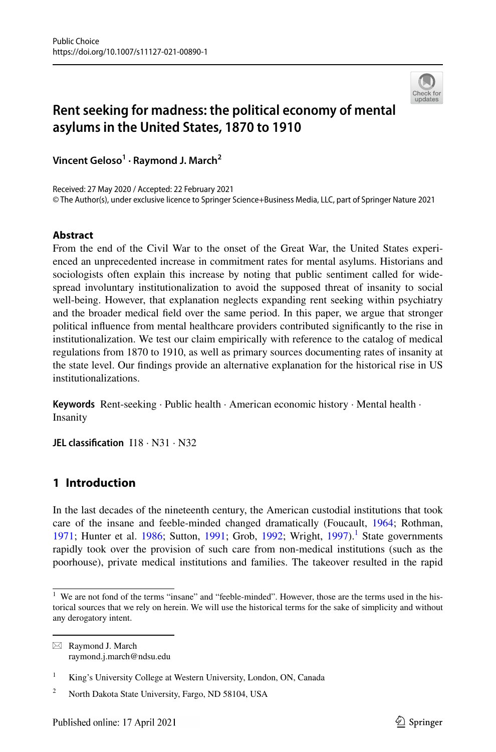

# **Rent seeking for madness: the political economy of mental asylums in the United States, 1870 to 1910**

**Vincent Geloso<sup>1</sup> · Raymond J. March<sup>2</sup>**

Received: 27 May 2020 / Accepted: 22 February 2021 © The Author(s), under exclusive licence to Springer Science+Business Media, LLC, part of Springer Nature 2021

# **Abstract**

From the end of the Civil War to the onset of the Great War, the United States experienced an unprecedented increase in commitment rates for mental asylums. Historians and sociologists often explain this increase by noting that public sentiment called for widespread involuntary institutionalization to avoid the supposed threat of insanity to social well-being. However, that explanation neglects expanding rent seeking within psychiatry and the broader medical field over the same period. In this paper, we argue that stronger political influence from mental healthcare providers contributed significantly to the rise in institutionalization. We test our claim empirically with reference to the catalog of medical regulations from 1870 to 1910, as well as primary sources documenting rates of insanity at the state level. Our findings provide an alternative explanation for the historical rise in US institutionalizations.

**Keywords** Rent-seeking · Public health · American economic history · Mental health · Insanity

**JEL classification** I18 · N31 · N32

# **1 Introduction**

In the last decades of the nineteenth century, the American custodial institutions that took care of the insane and feeble-minded changed dramatically (Foucault, [1964;](#page-27-0) Rothman, [1971;](#page-29-0) Hunter et al. [1986](#page-28-0); Sutton, [1991](#page-29-1); Grob, [1992;](#page-27-1) Wright,  $1997$  $1997$ ).<sup>1</sup> State governments rapidly took over the provision of such care from non-medical institutions (such as the poorhouse), private medical institutions and families. The takeover resulted in the rapid

<span id="page-0-0"></span><sup>&</sup>lt;sup>1</sup> We are not fond of the terms "insane" and "feeble-minded". However, those are the terms used in the historical sources that we rely on herein. We will use the historical terms for the sake of simplicity and without any derogatory intent.

 $\boxtimes$  Raymond J. March raymond.j.march@ndsu.edu

<sup>1</sup> King's University College at Western University, London, ON, Canada

<sup>2</sup> North Dakota State University, Fargo, ND 58104, USA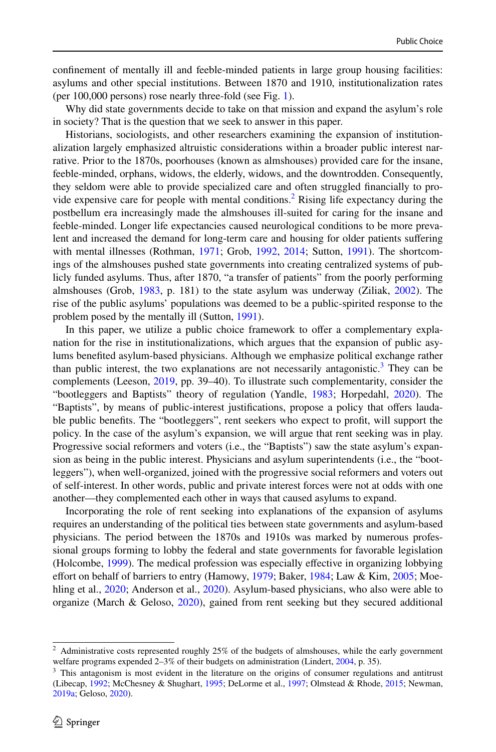confinement of mentally ill and feeble-minded patients in large group housing facilities: asylums and other special institutions. Between 1870 and 1910, institutionalization rates (per 100,000 persons) rose nearly three-fold (see Fig. [1\)](#page-3-0).

Why did state governments decide to take on that mission and expand the asylum's role in society? That is the question that we seek to answer in this paper.

Historians, sociologists, and other researchers examining the expansion of institutionalization largely emphasized altruistic considerations within a broader public interest narrative. Prior to the 1870s, poorhouses (known as almshouses) provided care for the insane, feeble-minded, orphans, widows, the elderly, widows, and the downtrodden. Consequently, they seldom were able to provide specialized care and often struggled financially to pro-vide expensive care for people with mental conditions.<sup>[2](#page-1-0)</sup> Rising life expectancy during the postbellum era increasingly made the almshouses ill-suited for caring for the insane and feeble-minded. Longer life expectancies caused neurological conditions to be more prevalent and increased the demand for long-term care and housing for older patients suffering with mental illnesses (Rothman, [1971](#page-29-0); Grob, [1992,](#page-27-1) [2014;](#page-28-1) Sutton, [1991](#page-29-1)). The shortcomings of the almshouses pushed state governments into creating centralized systems of publicly funded asylums. Thus, after 1870, "a transfer of patients" from the poorly performing almshouses (Grob, [1983,](#page-27-2) p. 181) to the state asylum was underway (Ziliak, [2002\)](#page-29-3). The rise of the public asylums' populations was deemed to be a public-spirited response to the problem posed by the mentally ill (Sutton, [1991\)](#page-29-1).

In this paper, we utilize a public choice framework to offer a complementary explanation for the rise in institutionalizations, which argues that the expansion of public asylums benefited asylum-based physicians. Although we emphasize political exchange rather than public interest, the two explanations are not necessarily antagonistic.<sup>[3](#page-1-1)</sup> They can be complements (Leeson, [2019](#page-28-2), pp. 39–40). To illustrate such complementarity, consider the "bootleggers and Baptists" theory of regulation (Yandle, [1983](#page-29-4); Horpedahl, [2020](#page-28-3)). The "Baptists", by means of public-interest justifications, propose a policy that offers laudable public benefits. The "bootleggers", rent seekers who expect to profit, will support the policy. In the case of the asylum's expansion, we will argue that rent seeking was in play. Progressive social reformers and voters (i.e., the "Baptists") saw the state asylum's expansion as being in the public interest. Physicians and asylum superintendents (i.e., the "bootleggers"), when well-organized, joined with the progressive social reformers and voters out of self-interest. In other words, public and private interest forces were not at odds with one another—they complemented each other in ways that caused asylums to expand.

Incorporating the role of rent seeking into explanations of the expansion of asylums requires an understanding of the political ties between state governments and asylum-based physicians. The period between the 1870s and 1910s was marked by numerous professional groups forming to lobby the federal and state governments for favorable legislation (Holcombe, [1999](#page-28-4)). The medical profession was especially effective in organizing lobbying effort on behalf of barriers to entry (Hamowy, [1979](#page-28-5); Baker, [1984](#page-27-3); Law & Kim, [2005](#page-28-6); Moe-hling et al., [2020](#page-29-5); Anderson et al., [2020\)](#page-27-4). Asylum-based physicians, who also were able to organize (March & Geloso, [2020\)](#page-28-7), gained from rent seeking but they secured additional

<span id="page-1-0"></span><sup>&</sup>lt;sup>2</sup> Administrative costs represented roughly 25% of the budgets of almshouses, while the early government welfare programs expended 2–3% of their budgets on administration (Lindert, [2004,](#page-28-8) p. 35).

<span id="page-1-1"></span><sup>&</sup>lt;sup>3</sup> This antagonism is most evident in the literature on the origins of consumer regulations and antitrust (Libecap, [1992](#page-28-9); McChesney & Shughart, [1995;](#page-29-6) DeLorme et al., [1997;](#page-27-5) Olmstead & Rhode, [2015;](#page-29-7) Newman, [2019a](#page-29-8); Geloso, [2020](#page-27-6)).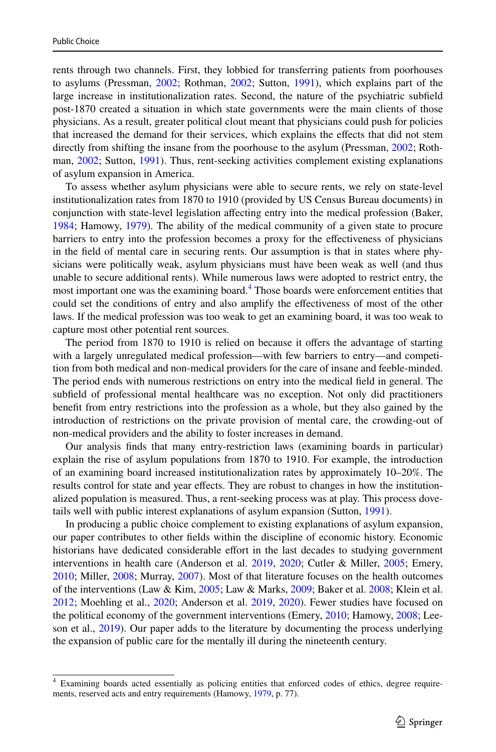rents through two channels. First, they lobbied for transferring patients from poorhouses to asylums (Pressman, [2002](#page-29-9); Rothman, [2002](#page-29-10); Sutton, [1991](#page-29-1)), which explains part of the large increase in institutionalization rates. Second, the nature of the psychiatric subfield post-1870 created a situation in which state governments were the main clients of those physicians. As a result, greater political clout meant that physicians could push for policies that increased the demand for their services, which explains the effects that did not stem directly from shifting the insane from the poorhouse to the asylum (Pressman, [2002](#page-29-9); Rothman, [2002](#page-29-10); Sutton, [1991](#page-29-1)). Thus, rent-seeking activities complement existing explanations of asylum expansion in America.

To assess whether asylum physicians were able to secure rents, we rely on state-level institutionalization rates from 1870 to 1910 (provided by US Census Bureau documents) in conjunction with state-level legislation affecting entry into the medical profession (Baker, [1984;](#page-27-3) Hamowy, [1979](#page-28-5)). The ability of the medical community of a given state to procure barriers to entry into the profession becomes a proxy for the effectiveness of physicians in the field of mental care in securing rents. Our assumption is that in states where physicians were politically weak, asylum physicians must have been weak as well (and thus unable to secure additional rents). While numerous laws were adopted to restrict entry, the most important one was the examining board.<sup>[4](#page-2-0)</sup> Those boards were enforcement entities that could set the conditions of entry and also amplify the effectiveness of most of the other laws. If the medical profession was too weak to get an examining board, it was too weak to capture most other potential rent sources.

The period from 1870 to 1910 is relied on because it offers the advantage of starting with a largely unregulated medical profession—with few barriers to entry—and competition from both medical and non-medical providers for the care of insane and feeble-minded. The period ends with numerous restrictions on entry into the medical field in general. The subfield of professional mental healthcare was no exception. Not only did practitioners benefit from entry restrictions into the profession as a whole, but they also gained by the introduction of restrictions on the private provision of mental care, the crowding-out of non-medical providers and the ability to foster increases in demand.

Our analysis finds that many entry-restriction laws (examining boards in particular) explain the rise of asylum populations from 1870 to 1910. For example, the introduction of an examining board increased institutionalization rates by approximately 10–20%. The results control for state and year effects. They are robust to changes in how the institutionalized population is measured. Thus, a rent-seeking process was at play. This process dovetails well with public interest explanations of asylum expansion (Sutton, [1991\)](#page-29-1).

In producing a public choice complement to existing explanations of asylum expansion, our paper contributes to other fields within the discipline of economic history. Economic historians have dedicated considerable effort in the last decades to studying government interventions in health care (Anderson et al. [2019,](#page-27-7) [2020;](#page-27-4) Cutler & Miller, [2005](#page-27-8); Emery, [2010;](#page-27-9) Miller, [2008;](#page-29-11) Murray, [2007\)](#page-29-12). Most of that literature focuses on the health outcomes of the interventions (Law & Kim, [2005](#page-28-6); Law & Marks, [2009;](#page-28-10) Baker et al. [2008;](#page-27-10) Klein et al. [2012;](#page-28-11) Moehling et al., [2020;](#page-29-5) Anderson et al. [2019,](#page-27-7) [2020](#page-27-4)). Fewer studies have focused on the political economy of the government interventions (Emery, [2010](#page-27-9); Hamowy, [2008](#page-28-12); Leeson et al., [2019\)](#page-28-13). Our paper adds to the literature by documenting the process underlying the expansion of public care for the mentally ill during the nineteenth century.

<span id="page-2-0"></span><sup>4</sup> Examining boards acted essentially as policing entities that enforced codes of ethics, degree requirements, reserved acts and entry requirements (Hamowy, [1979,](#page-28-5) p. 77).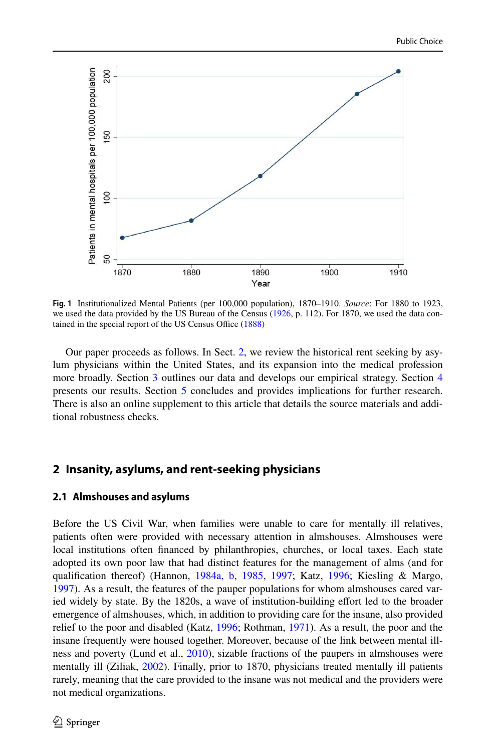

<span id="page-3-0"></span>**Fig. 1** Institutionalized Mental Patients (per 100,000 population), 1870–1910. *Source*: For 1880 to 1923, we used the data provided by the US Bureau of the Census ([1926,](#page-29-13) p. 112). For 1870, we used the data contained in the special report of the US Census Office ([1888\)](#page-29-14)

Our paper proceeds as follows. In Sect. [2](#page-3-1), we review the historical rent seeking by asylum physicians within the United States, and its expansion into the medical profession more broadly. Section [3](#page-9-0) outlines our data and develops our empirical strategy. Section [4](#page-14-0) presents our results. Section [5](#page-26-0) concludes and provides implications for further research. There is also an online supplement to this article that details the source materials and additional robustness checks.

# <span id="page-3-1"></span>**2 Insanity, asylums, and rent‑seeking physicians**

### **2.1 Almshouses and asylums**

Before the US Civil War, when families were unable to care for mentally ill relatives, patients often were provided with necessary attention in almshouses. Almshouses were local institutions often financed by philanthropies, churches, or local taxes. Each state adopted its own poor law that had distinct features for the management of alms (and for qualification thereof) (Hannon, [1984a](#page-28-14), [b,](#page-28-15) [1985](#page-28-16), [1997](#page-28-16); Katz, [1996;](#page-28-17) Kiesling & Margo, [1997\)](#page-28-18). As a result, the features of the pauper populations for whom almshouses cared varied widely by state. By the 1820s, a wave of institution-building effort led to the broader emergence of almshouses, which, in addition to providing care for the insane, also provided relief to the poor and disabled (Katz, [1996;](#page-28-17) Rothman, [1971\)](#page-29-0). As a result, the poor and the insane frequently were housed together. Moreover, because of the link between mental illness and poverty (Lund et al., [2010](#page-28-19)), sizable fractions of the paupers in almshouses were mentally ill (Ziliak, [2002](#page-29-3)). Finally, prior to 1870, physicians treated mentally ill patients rarely, meaning that the care provided to the insane was not medical and the providers were not medical organizations.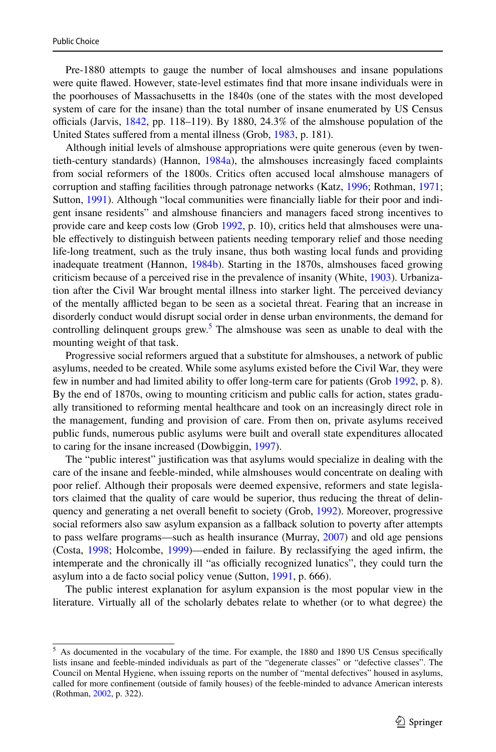Pre-1880 attempts to gauge the number of local almshouses and insane populations were quite flawed. However, state-level estimates find that more insane individuals were in the poorhouses of Massachusetts in the 1840s (one of the states with the most developed system of care for the insane) than the total number of insane enumerated by US Census officials (Jarvis,  $1842$ , pp. 118–119). By 1880, 24.3% of the almshouse population of the United States suffered from a mental illness (Grob, [1983,](#page-27-2) p. 181).

Although initial levels of almshouse appropriations were quite generous (even by twentieth-century standards) (Hannon, [1984a\)](#page-28-14), the almshouses increasingly faced complaints from social reformers of the 1800s. Critics often accused local almshouse managers of corruption and staffing facilities through patronage networks (Katz, [1996](#page-28-17); Rothman, [1971;](#page-29-0) Sutton, [1991](#page-29-1)). Although "local communities were financially liable for their poor and indigent insane residents" and almshouse financiers and managers faced strong incentives to provide care and keep costs low (Grob [1992](#page-27-1), p. 10), critics held that almshouses were unable effectively to distinguish between patients needing temporary relief and those needing life-long treatment, such as the truly insane, thus both wasting local funds and providing inadequate treatment (Hannon, [1984b](#page-28-21)). Starting in the 1870s, almshouses faced growing criticism because of a perceived rise in the prevalence of insanity (White, [1903\)](#page-29-15). Urbanization after the Civil War brought mental illness into starker light. The perceived deviancy of the mentally afflicted began to be seen as a societal threat. Fearing that an increase in disorderly conduct would disrupt social order in dense urban environments, the demand for controlling delinquent groups grew.<sup>[5](#page-4-0)</sup> The almshouse was seen as unable to deal with the mounting weight of that task.

Progressive social reformers argued that a substitute for almshouses, a network of public asylums, needed to be created. While some asylums existed before the Civil War, they were few in number and had limited ability to offer long-term care for patients (Grob [1992](#page-27-1), p. 8). By the end of 1870s, owing to mounting criticism and public calls for action, states gradually transitioned to reforming mental healthcare and took on an increasingly direct role in the management, funding and provision of care. From then on, private asylums received public funds, numerous public asylums were built and overall state expenditures allocated to caring for the insane increased (Dowbiggin, [1997](#page-27-11)).

The "public interest" justification was that asylums would specialize in dealing with the care of the insane and feeble-minded, while almshouses would concentrate on dealing with poor relief. Although their proposals were deemed expensive, reformers and state legislators claimed that the quality of care would be superior, thus reducing the threat of delinquency and generating a net overall benefit to society (Grob, [1992](#page-27-1)). Moreover, progressive social reformers also saw asylum expansion as a fallback solution to poverty after attempts to pass welfare programs—such as health insurance (Murray, [2007](#page-29-12)) and old age pensions (Costa, [1998;](#page-27-12) Holcombe, [1999](#page-28-4))—ended in failure. By reclassifying the aged infirm, the intemperate and the chronically ill "as officially recognized lunatics", they could turn the asylum into a de facto social policy venue (Sutton, [1991,](#page-29-1) p. 666).

The public interest explanation for asylum expansion is the most popular view in the literature. Virtually all of the scholarly debates relate to whether (or to what degree) the

<span id="page-4-0"></span><sup>&</sup>lt;sup>5</sup> As documented in the vocabulary of the time. For example, the 1880 and 1890 US Census specifically lists insane and feeble-minded individuals as part of the "degenerate classes" or "defective classes". The Council on Mental Hygiene, when issuing reports on the number of "mental defectives" housed in asylums, called for more confinement (outside of family houses) of the feeble-minded to advance American interests (Rothman, [2002,](#page-29-10) p. 322).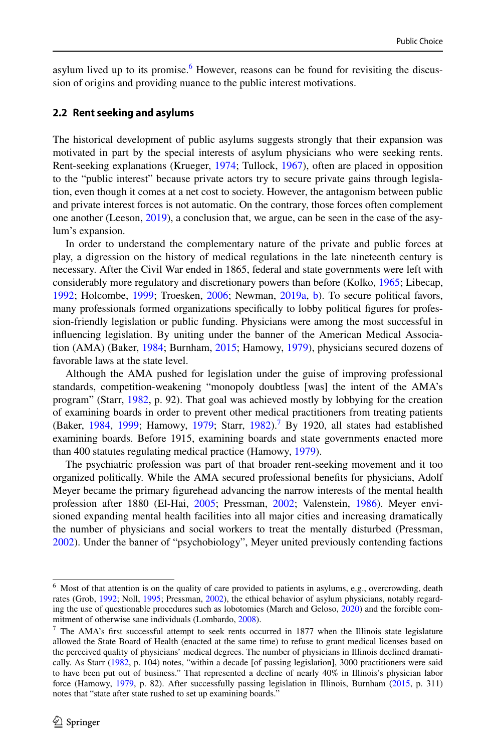asylum lived up to its promise.<sup>[6](#page-5-0)</sup> However, reasons can be found for revisiting the discussion of origins and providing nuance to the public interest motivations.

#### **2.2 Rent seeking and asylums**

The historical development of public asylums suggests strongly that their expansion was motivated in part by the special interests of asylum physicians who were seeking rents. Rent-seeking explanations (Krueger, [1974](#page-28-22); Tullock, [1967](#page-29-16)), often are placed in opposition to the "public interest" because private actors try to secure private gains through legislation, even though it comes at a net cost to society. However, the antagonism between public and private interest forces is not automatic. On the contrary, those forces often complement one another (Leeson, [2019](#page-28-2)), a conclusion that, we argue, can be seen in the case of the asylum's expansion.

In order to understand the complementary nature of the private and public forces at play, a digression on the history of medical regulations in the late nineteenth century is necessary. After the Civil War ended in 1865, federal and state governments were left with considerably more regulatory and discretionary powers than before (Kolko, [1965;](#page-28-23) Libecap, [1992;](#page-28-9) Holcombe, [1999](#page-28-4); Troesken, [2006](#page-29-17); Newman, [2019a,](#page-29-8) [b](#page-29-18)). To secure political favors, many professionals formed organizations specifically to lobby political figures for profession-friendly legislation or public funding. Physicians were among the most successful in influencing legislation. By uniting under the banner of the American Medical Association (AMA) (Baker, [1984;](#page-27-3) Burnham, [2015;](#page-27-13) Hamowy, [1979](#page-28-5)), physicians secured dozens of favorable laws at the state level.

Although the AMA pushed for legislation under the guise of improving professional standards, competition-weakening "monopoly doubtless [was] the intent of the AMA's program" (Starr, [1982,](#page-29-19) p. 92). That goal was achieved mostly by lobbying for the creation of examining boards in order to prevent other medical practitioners from treating patients (Baker, [1984,](#page-27-3) [1999](#page-27-14); Hamowy, [1979](#page-28-5); Starr, [1982](#page-29-19)).<sup>[7](#page-5-1)</sup> By 1920, all states had established examining boards. Before 1915, examining boards and state governments enacted more than 400 statutes regulating medical practice (Hamowy, [1979\)](#page-28-5).

The psychiatric profession was part of that broader rent-seeking movement and it too organized politically. While the AMA secured professional benefits for physicians, Adolf Meyer became the primary figurehead advancing the narrow interests of the mental health profession after 1880 (El-Hai, [2005](#page-27-15); Pressman, [2002;](#page-29-9) Valenstein, [1986](#page-29-20)). Meyer envisioned expanding mental health facilities into all major cities and increasing dramatically the number of physicians and social workers to treat the mentally disturbed (Pressman, [2002\)](#page-29-9). Under the banner of "psychobiology", Meyer united previously contending factions

<span id="page-5-0"></span><sup>&</sup>lt;sup>6</sup> Most of that attention is on the quality of care provided to patients in asylums, e.g., overcrowding, death rates (Grob, [1992;](#page-27-1) Noll, [1995;](#page-29-21) Pressman, [2002](#page-29-9)), the ethical behavior of asylum physicians, notably regarding the use of questionable procedures such as lobotomies (March and Geloso, [2020\)](#page-28-7) and the forcible commitment of otherwise sane individuals (Lombardo, [2008](#page-28-24)).

<span id="page-5-1"></span><sup>&</sup>lt;sup>7</sup> The AMA's first successful attempt to seek rents occurred in 1877 when the Illinois state legislature allowed the State Board of Health (enacted at the same time) to refuse to grant medical licenses based on the perceived quality of physicians' medical degrees. The number of physicians in Illinois declined dramatically. As Starr [\(1982](#page-29-19), p. 104) notes, "within a decade [of passing legislation], 3000 practitioners were said to have been put out of business." That represented a decline of nearly 40% in Illinois's physician labor force (Hamowy, [1979,](#page-28-5) p. 82). After successfully passing legislation in Illinois, Burnham ([2015,](#page-27-13) p. 311) notes that "state after state rushed to set up examining boards."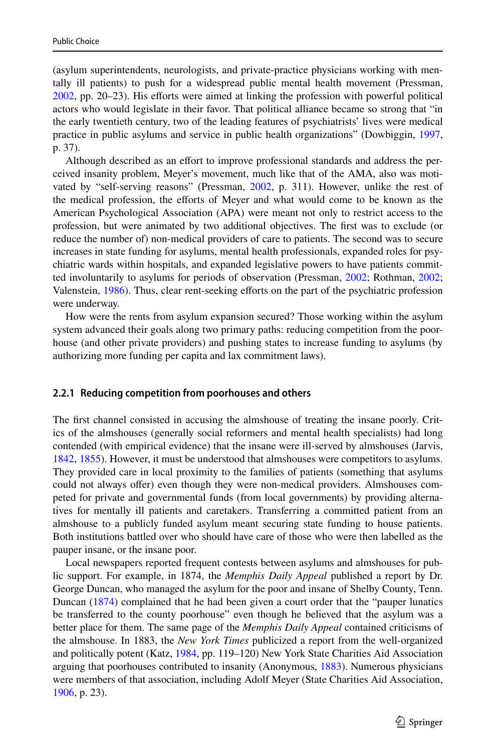(asylum superintendents, neurologists, and private-practice physicians working with mentally ill patients) to push for a widespread public mental health movement (Pressman, [2002,](#page-29-9) pp. 20–23). His efforts were aimed at linking the profession with powerful political actors who would legislate in their favor. That political alliance became so strong that "in the early twentieth century, two of the leading features of psychiatrists' lives were medical practice in public asylums and service in public health organizations" (Dowbiggin, [1997](#page-27-11), p. 37).

Although described as an effort to improve professional standards and address the perceived insanity problem, Meyer's movement, much like that of the AMA, also was motivated by "self-serving reasons" (Pressman, [2002,](#page-29-9) p. 311). However, unlike the rest of the medical profession, the efforts of Meyer and what would come to be known as the American Psychological Association (APA) were meant not only to restrict access to the profession, but were animated by two additional objectives. The first was to exclude (or reduce the number of) non-medical providers of care to patients. The second was to secure increases in state funding for asylums, mental health professionals, expanded roles for psychiatric wards within hospitals, and expanded legislative powers to have patients committed involuntarily to asylums for periods of observation (Pressman, [2002](#page-29-9); Rothman, [2002;](#page-29-10) Valenstein, [1986\)](#page-29-20). Thus, clear rent-seeking efforts on the part of the psychiatric profession were underway.

How were the rents from asylum expansion secured? Those working within the asylum system advanced their goals along two primary paths: reducing competition from the poorhouse (and other private providers) and pushing states to increase funding to asylums (by authorizing more funding per capita and lax commitment laws).

#### **2.2.1 Reducing competition from poorhouses and others**

The first channel consisted in accusing the almshouse of treating the insane poorly. Critics of the almshouses (generally social reformers and mental health specialists) had long contended (with empirical evidence) that the insane were ill-served by almshouses (Jarvis, [1842,](#page-28-20) [1855](#page-28-25)). However, it must be understood that almshouses were competitors to asylums. They provided care in local proximity to the families of patients (something that asylums could not always offer) even though they were non-medical providers. Almshouses competed for private and governmental funds (from local governments) by providing alternatives for mentally ill patients and caretakers. Transferring a committed patient from an almshouse to a publicly funded asylum meant securing state funding to house patients. Both institutions battled over who should have care of those who were then labelled as the pauper insane, or the insane poor.

Local newspapers reported frequent contests between asylums and almshouses for public support. For example, in 1874, the *Memphis Daily Appeal* published a report by Dr. George Duncan, who managed the asylum for the poor and insane of Shelby County, Tenn. Duncan [\(1874](#page-27-16)) complained that he had been given a court order that the "pauper lunatics be transferred to the county poorhouse" even though he believed that the asylum was a better place for them. The same page of the *Memphis Daily Appeal* contained criticisms of the almshouse. In 1883, the *New York Times* publicized a report from the well-organized and politically potent (Katz, [1984](#page-28-26), pp. 119–120) New York State Charities Aid Association arguing that poorhouses contributed to insanity (Anonymous, [1883\)](#page-27-17). Numerous physicians were members of that association, including Adolf Meyer (State Charities Aid Association, [1906,](#page-29-22) p. 23).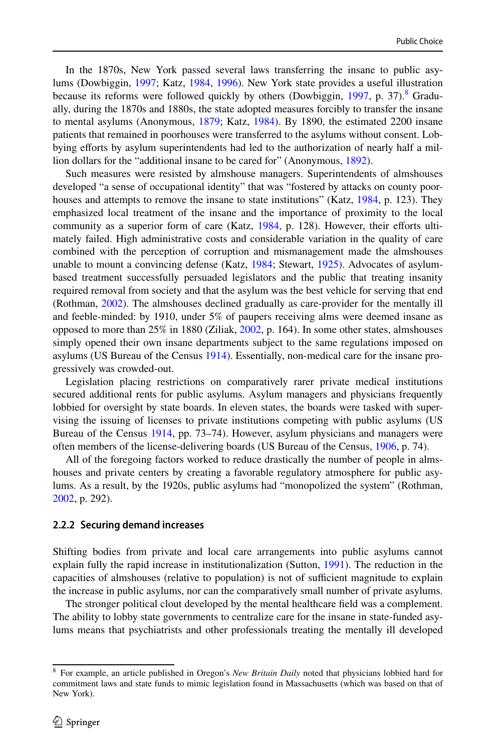In the 1870s, New York passed several laws transferring the insane to public asylums (Dowbiggin, [1997](#page-27-11); Katz, [1984](#page-28-26), [1996\)](#page-28-17). New York state provides a useful illustration because its reforms were followed quickly by others (Dowbiggin, [1997,](#page-27-11) p. 37).<sup>[8](#page-7-0)</sup> Gradually, during the 1870s and 1880s, the state adopted measures forcibly to transfer the insane to mental asylums (Anonymous, [1879](#page-27-18); Katz, [1984\)](#page-28-26). By 1890, the estimated 2200 insane patients that remained in poorhouses were transferred to the asylums without consent. Lobbying efforts by asylum superintendents had led to the authorization of nearly half a million dollars for the "additional insane to be cared for" (Anonymous, [1892](#page-27-19)).

Such measures were resisted by almshouse managers. Superintendents of almshouses developed "a sense of occupational identity" that was "fostered by attacks on county poor-houses and attempts to remove the insane to state institutions" (Katz, [1984](#page-28-26), p. 123). They emphasized local treatment of the insane and the importance of proximity to the local community as a superior form of care (Katz, [1984](#page-28-26), p. 128). However, their efforts ultimately failed. High administrative costs and considerable variation in the quality of care combined with the perception of corruption and mismanagement made the almshouses unable to mount a convincing defense (Katz, [1984;](#page-28-26) Stewart, [1925](#page-29-23)). Advocates of asylumbased treatment successfully persuaded legislators and the public that treating insanity required removal from society and that the asylum was the best vehicle for serving that end (Rothman, [2002\)](#page-29-10). The almshouses declined gradually as care-provider for the mentally ill and feeble-minded: by 1910, under 5% of paupers receiving alms were deemed insane as opposed to more than 25% in 1880 (Ziliak, [2002](#page-29-3), p. 164). In some other states, almshouses simply opened their own insane departments subject to the same regulations imposed on asylums (US Bureau of the Census [1914\)](#page-29-24). Essentially, non-medical care for the insane progressively was crowded-out.

Legislation placing restrictions on comparatively rarer private medical institutions secured additional rents for public asylums. Asylum managers and physicians frequently lobbied for oversight by state boards. In eleven states, the boards were tasked with supervising the issuing of licenses to private institutions competing with public asylums (US Bureau of the Census [1914,](#page-29-24) pp. 73–74). However, asylum physicians and managers were often members of the license-delivering boards (US Bureau of the Census, [1906](#page-29-25), p. 74).

All of the foregoing factors worked to reduce drastically the number of people in almshouses and private centers by creating a favorable regulatory atmosphere for public asylums. As a result, by the 1920s, public asylums had "monopolized the system" (Rothman, [2002,](#page-29-10) p. 292).

#### **2.2.2 Securing demand increases**

Shifting bodies from private and local care arrangements into public asylums cannot explain fully the rapid increase in institutionalization (Sutton, [1991\)](#page-29-1). The reduction in the capacities of almshouses (relative to population) is not of sufficient magnitude to explain the increase in public asylums, nor can the comparatively small number of private asylums.

The stronger political clout developed by the mental healthcare field was a complement. The ability to lobby state governments to centralize care for the insane in state-funded asylums means that psychiatrists and other professionals treating the mentally ill developed

<span id="page-7-0"></span><sup>8</sup> For example, an article published in Oregon's *New Britain Daily* noted that physicians lobbied hard for commitment laws and state funds to mimic legislation found in Massachusetts (which was based on that of New York).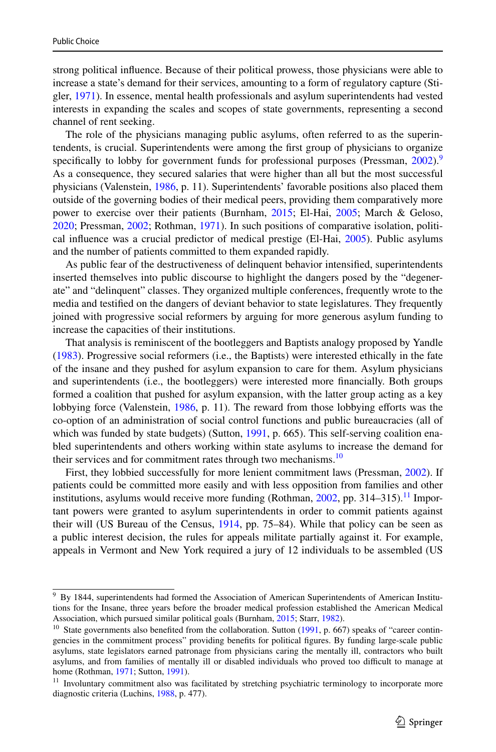strong political influence. Because of their political prowess, those physicians were able to increase a state's demand for their services, amounting to a form of regulatory capture (Stigler, [1971](#page-29-26)). In essence, mental health professionals and asylum superintendents had vested interests in expanding the scales and scopes of state governments, representing a second channel of rent seeking.

The role of the physicians managing public asylums, often referred to as the superintendents, is crucial. Superintendents were among the first group of physicians to organize specifically to lobby for government funds for professional purposes (Pressman,  $2002$ ).<sup>[9](#page-8-0)</sup> As a consequence, they secured salaries that were higher than all but the most successful physicians (Valenstein, [1986,](#page-29-20) p. 11). Superintendents' favorable positions also placed them outside of the governing bodies of their medical peers, providing them comparatively more power to exercise over their patients (Burnham, [2015;](#page-27-13) El-Hai, [2005;](#page-27-15) March & Geloso, [2020;](#page-28-7) Pressman, [2002;](#page-29-9) Rothman, [1971\)](#page-29-0). In such positions of comparative isolation, political influence was a crucial predictor of medical prestige (El-Hai, [2005\)](#page-27-15). Public asylums and the number of patients committed to them expanded rapidly.

As public fear of the destructiveness of delinquent behavior intensified, superintendents inserted themselves into public discourse to highlight the dangers posed by the "degenerate" and "delinquent" classes. They organized multiple conferences, frequently wrote to the media and testified on the dangers of deviant behavior to state legislatures. They frequently joined with progressive social reformers by arguing for more generous asylum funding to increase the capacities of their institutions.

That analysis is reminiscent of the bootleggers and Baptists analogy proposed by Yandle ([1983\)](#page-29-4). Progressive social reformers (i.e., the Baptists) were interested ethically in the fate of the insane and they pushed for asylum expansion to care for them. Asylum physicians and superintendents (i.e., the bootleggers) were interested more financially. Both groups formed a coalition that pushed for asylum expansion, with the latter group acting as a key lobbying force (Valenstein, [1986](#page-29-20), p. 11). The reward from those lobbying efforts was the co-option of an administration of social control functions and public bureaucracies (all of which was funded by state budgets) (Sutton, [1991,](#page-29-1) p. 665). This self-serving coalition enabled superintendents and others working within state asylums to increase the demand for their services and for commitment rates through two mechanisms.<sup>[10](#page-8-1)</sup>

First, they lobbied successfully for more lenient commitment laws (Pressman, [2002](#page-29-9)). If patients could be committed more easily and with less opposition from families and other institutions, asylums would receive more funding (Rothman,  $2002$ , pp. 314–315).<sup>[11](#page-8-2)</sup> Important powers were granted to asylum superintendents in order to commit patients against their will (US Bureau of the Census, [1914](#page-29-24), pp. 75–84). While that policy can be seen as a public interest decision, the rules for appeals militate partially against it. For example, appeals in Vermont and New York required a jury of 12 individuals to be assembled (US

<span id="page-8-0"></span><sup>&</sup>lt;sup>9</sup> By 1844, superintendents had formed the Association of American Superintendents of American Institutions for the Insane, three years before the broader medical profession established the American Medical Association, which pursued similar political goals (Burnham, [2015](#page-27-13); Starr, [1982](#page-29-19)).

<span id="page-8-1"></span><sup>&</sup>lt;sup>10</sup> State governments also benefited from the collaboration. Sutton ([1991,](#page-29-1) p. 667) speaks of "career contingencies in the commitment process" providing benefits for political figures. By funding large-scale public asylums, state legislators earned patronage from physicians caring the mentally ill, contractors who built asylums, and from families of mentally ill or disabled individuals who proved too difficult to manage at home (Rothman, [1971](#page-29-0); Sutton, [1991](#page-29-1)).

<span id="page-8-2"></span><sup>&</sup>lt;sup>11</sup> Involuntary commitment also was facilitated by stretching psychiatric terminology to incorporate more diagnostic criteria (Luchins, [1988,](#page-28-27) p. 477).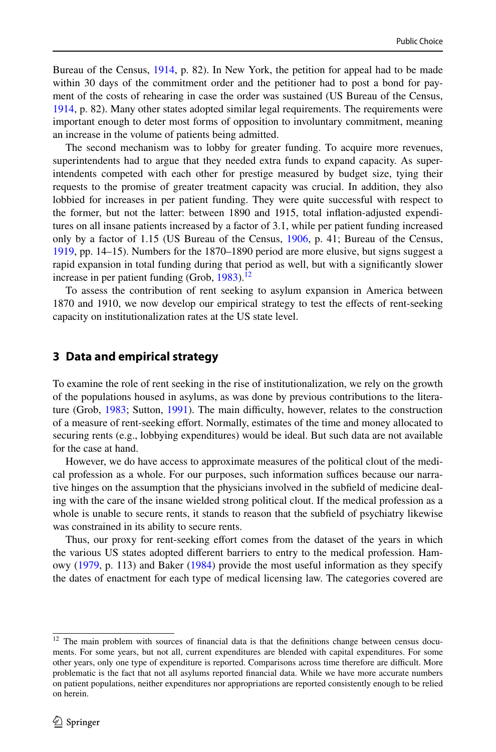Bureau of the Census, [1914,](#page-29-24) p. 82). In New York, the petition for appeal had to be made within 30 days of the commitment order and the petitioner had to post a bond for payment of the costs of rehearing in case the order was sustained (US Bureau of the Census, [1914,](#page-29-24) p. 82). Many other states adopted similar legal requirements. The requirements were important enough to deter most forms of opposition to involuntary commitment, meaning an increase in the volume of patients being admitted.

The second mechanism was to lobby for greater funding. To acquire more revenues, superintendents had to argue that they needed extra funds to expand capacity. As superintendents competed with each other for prestige measured by budget size, tying their requests to the promise of greater treatment capacity was crucial. In addition, they also lobbied for increases in per patient funding. They were quite successful with respect to the former, but not the latter: between 1890 and 1915, total inflation-adjusted expenditures on all insane patients increased by a factor of 3.1, while per patient funding increased only by a factor of 1.15 (US Bureau of the Census, [1906](#page-29-25), p. 41; Bureau of the Census, [1919,](#page-29-27) pp. 14–15). Numbers for the 1870–1890 period are more elusive, but signs suggest a rapid expansion in total funding during that period as well, but with a significantly slower increase in per patient funding (Grob,  $1983$ ).<sup>[12](#page-9-1)</sup>

To assess the contribution of rent seeking to asylum expansion in America between 1870 and 1910, we now develop our empirical strategy to test the effects of rent-seeking capacity on institutionalization rates at the US state level.

# <span id="page-9-0"></span>**3 Data and empirical strategy**

To examine the role of rent seeking in the rise of institutionalization, we rely on the growth of the populations housed in asylums, as was done by previous contributions to the literature (Grob, [1983;](#page-27-2) Sutton, [1991\)](#page-29-1). The main difficulty, however, relates to the construction of a measure of rent-seeking effort. Normally, estimates of the time and money allocated to securing rents (e.g., lobbying expenditures) would be ideal. But such data are not available for the case at hand.

However, we do have access to approximate measures of the political clout of the medical profession as a whole. For our purposes, such information suffices because our narrative hinges on the assumption that the physicians involved in the subfield of medicine dealing with the care of the insane wielded strong political clout. If the medical profession as a whole is unable to secure rents, it stands to reason that the subfield of psychiatry likewise was constrained in its ability to secure rents.

Thus, our proxy for rent-seeking effort comes from the dataset of the years in which the various US states adopted different barriers to entry to the medical profession. Hamowy ([1979,](#page-28-5) p. 113) and Baker ([1984\)](#page-27-3) provide the most useful information as they specify the dates of enactment for each type of medical licensing law. The categories covered are

<span id="page-9-1"></span><sup>&</sup>lt;sup>12</sup> The main problem with sources of financial data is that the definitions change between census documents. For some years, but not all, current expenditures are blended with capital expenditures. For some other years, only one type of expenditure is reported. Comparisons across time therefore are difficult. More problematic is the fact that not all asylums reported financial data. While we have more accurate numbers on patient populations, neither expenditures nor appropriations are reported consistently enough to be relied on herein.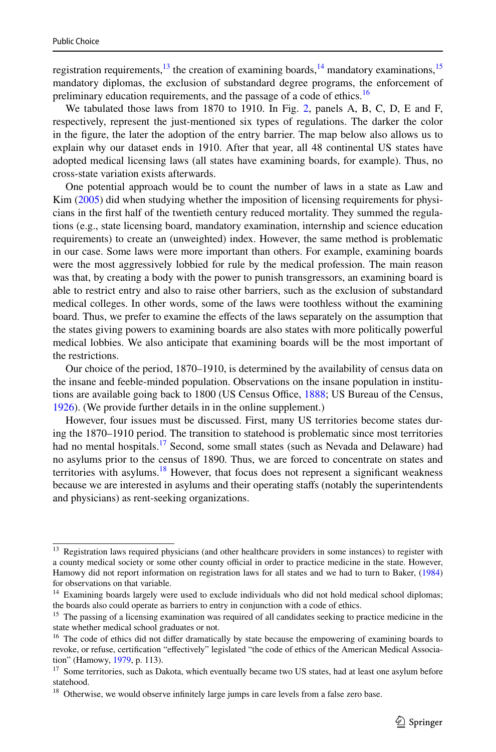registration requirements, $^{13}$  $^{13}$  $^{13}$  the creation of examining boards, $^{14}$  $^{14}$  $^{14}$  mandatory examinations, $^{15}$  $^{15}$  $^{15}$ mandatory diplomas, the exclusion of substandard degree programs, the enforcement of preliminary education requirements, and the passage of a code of ethics.<sup>[16](#page-10-3)</sup>

We tabulated those laws from 1870 to 1910. In Fig. [2,](#page-12-0) panels A, B, C, D, E and F, respectively, represent the just-mentioned six types of regulations. The darker the color in the figure, the later the adoption of the entry barrier. The map below also allows us to explain why our dataset ends in 1910. After that year, all 48 continental US states have adopted medical licensing laws (all states have examining boards, for example). Thus, no cross-state variation exists afterwards.

One potential approach would be to count the number of laws in a state as Law and Kim [\(2005](#page-28-6)) did when studying whether the imposition of licensing requirements for physicians in the first half of the twentieth century reduced mortality. They summed the regulations (e.g., state licensing board, mandatory examination, internship and science education requirements) to create an (unweighted) index. However, the same method is problematic in our case. Some laws were more important than others. For example, examining boards were the most aggressively lobbied for rule by the medical profession. The main reason was that, by creating a body with the power to punish transgressors, an examining board is able to restrict entry and also to raise other barriers, such as the exclusion of substandard medical colleges. In other words, some of the laws were toothless without the examining board. Thus, we prefer to examine the effects of the laws separately on the assumption that the states giving powers to examining boards are also states with more politically powerful medical lobbies. We also anticipate that examining boards will be the most important of the restrictions.

Our choice of the period, 1870–1910, is determined by the availability of census data on the insane and feeble-minded population. Observations on the insane population in institutions are available going back to 1800 (US Census Office, [1888;](#page-29-14) US Bureau of the Census, [1926\)](#page-29-13). (We provide further details in in the online supplement.)

However, four issues must be discussed. First, many US territories become states during the 1870–1910 period. The transition to statehood is problematic since most territories had no mental hospitals.<sup>[17](#page-10-4)</sup> Second, some small states (such as Nevada and Delaware) had no asylums prior to the census of 1890. Thus, we are forced to concentrate on states and territories with asylums.<sup>[18](#page-10-5)</sup> However, that focus does not represent a significant weakness because we are interested in asylums and their operating staffs (notably the superintendents and physicians) as rent-seeking organizations.

<span id="page-10-0"></span><sup>&</sup>lt;sup>13</sup> Registration laws required physicians (and other healthcare providers in some instances) to register with a county medical society or some other county official in order to practice medicine in the state. However, Hamowy did not report information on registration laws for all states and we had to turn to Baker, ([1984\)](#page-27-3) for observations on that variable.

<span id="page-10-1"></span><sup>&</sup>lt;sup>14</sup> Examining boards largely were used to exclude individuals who did not hold medical school diplomas; the boards also could operate as barriers to entry in conjunction with a code of ethics.

<span id="page-10-2"></span><sup>&</sup>lt;sup>15</sup> The passing of a licensing examination was required of all candidates seeking to practice medicine in the state whether medical school graduates or not.

<span id="page-10-3"></span><sup>&</sup>lt;sup>16</sup> The code of ethics did not differ dramatically by state because the empowering of examining boards to revoke, or refuse, certification "effectively" legislated "the code of ethics of the American Medical Association" (Hamowy, [1979](#page-28-5), p. 113).

<span id="page-10-4"></span><sup>&</sup>lt;sup>17</sup> Some territories, such as Dakota, which eventually became two US states, had at least one asylum before statehood.

<span id="page-10-5"></span><sup>&</sup>lt;sup>18</sup> Otherwise, we would observe infinitely large jumps in care levels from a false zero base.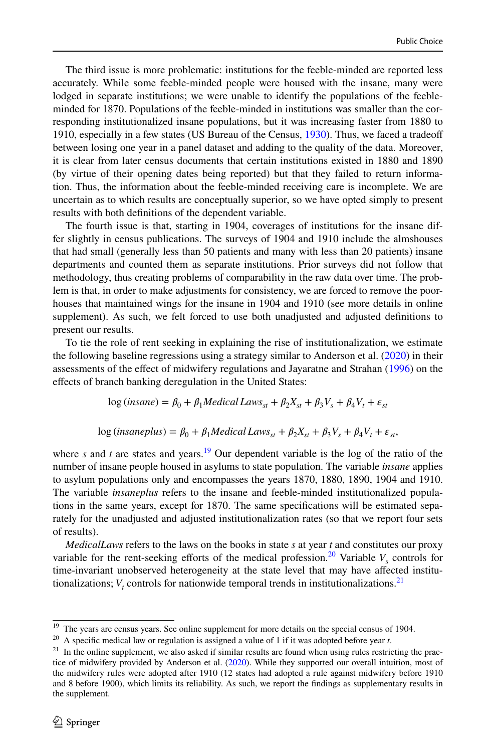The third issue is more problematic: institutions for the feeble-minded are reported less accurately. While some feeble-minded people were housed with the insane, many were lodged in separate institutions; we were unable to identify the populations of the feebleminded for 1870. Populations of the feeble-minded in institutions was smaller than the corresponding institutionalized insane populations, but it was increasing faster from 1880 to 1910, especially in a few states (US Bureau of the Census, [1930](#page-29-28)). Thus, we faced a tradeoff between losing one year in a panel dataset and adding to the quality of the data. Moreover, it is clear from later census documents that certain institutions existed in 1880 and 1890 (by virtue of their opening dates being reported) but that they failed to return information. Thus, the information about the feeble-minded receiving care is incomplete. We are uncertain as to which results are conceptually superior, so we have opted simply to present results with both definitions of the dependent variable.

The fourth issue is that, starting in 1904, coverages of institutions for the insane differ slightly in census publications. The surveys of 1904 and 1910 include the almshouses that had small (generally less than 50 patients and many with less than 20 patients) insane departments and counted them as separate institutions. Prior surveys did not follow that methodology, thus creating problems of comparability in the raw data over time. The problem is that, in order to make adjustments for consistency, we are forced to remove the poorhouses that maintained wings for the insane in 1904 and 1910 (see more details in online supplement). As such, we felt forced to use both unadjusted and adjusted definitions to present our results.

To tie the role of rent seeking in explaining the rise of institutionalization, we estimate the following baseline regressions using a strategy similar to Anderson et al. ([2020\)](#page-27-4) in their assessments of the effect of midwifery regulations and Jayaratne and Strahan [\(1996](#page-28-28)) on the effects of branch banking deregulation in the United States:

$$
\log (insane) = \beta_0 + \beta_1 Medical Laws_{st} + \beta_2 X_{st} + \beta_3 V_s + \beta_4 V_t + \varepsilon_{st}
$$

 $\log (insaneplus) = \beta_0 + \beta_1 Medical Laws_{st} + \beta_2 X_{st} + \beta_3 V_s + \beta_4 V_t + \varepsilon_{st},$ 

where *s* and *t* are states and years.<sup>[19](#page-11-0)</sup> Our dependent variable is the log of the ratio of the number of insane people housed in asylums to state population. The variable *insane* applies to asylum populations only and encompasses the years 1870, 1880, 1890, 1904 and 1910. The variable *insaneplus* refers to the insane and feeble-minded institutionalized populations in the same years, except for 1870. The same specifications will be estimated separately for the unadjusted and adjusted institutionalization rates (so that we report four sets of results).

*MedicalLaws* refers to the laws on the books in state *s* at year *t* and constitutes our proxy variable for the rent-seeking efforts of the medical profession.<sup>[20](#page-11-1)</sup> Variable  $V_s$  controls for time-invariant unobserved heterogeneity at the state level that may have affected institutionalizations;  $V_t$  controls for nationwide temporal trends in institutionalizations.<sup>[21](#page-11-2)</sup>

<span id="page-11-0"></span><sup>&</sup>lt;sup>19</sup> The years are census years. See online supplement for more details on the special census of 1904.

<span id="page-11-1"></span><sup>20</sup> A specific medical law or regulation is assigned a value of 1 if it was adopted before year *t*.

<span id="page-11-2"></span> $21$  In the online supplement, we also asked if similar results are found when using rules restricting the practice of midwifery provided by Anderson et al. [\(2020](#page-27-4)). While they supported our overall intuition, most of the midwifery rules were adopted after 1910 (12 states had adopted a rule against midwifery before 1910 and 8 before 1900), which limits its reliability. As such, we report the findings as supplementary results in the supplement.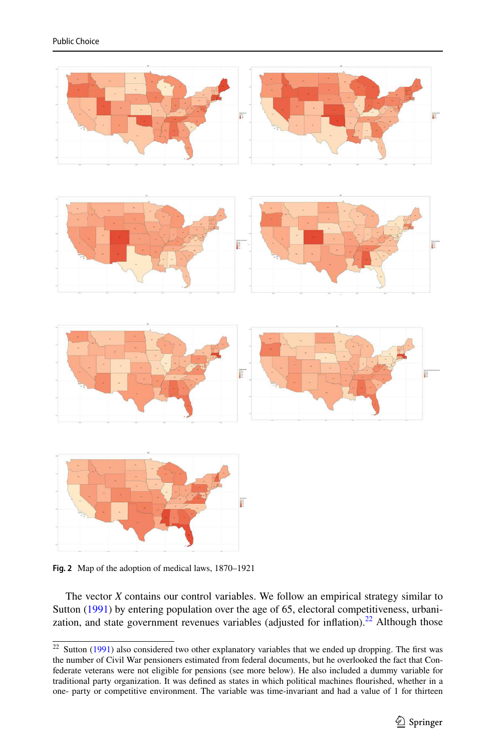

<span id="page-12-0"></span>**Fig. 2** Map of the adoption of medical laws, 1870–1921

The vector *X* contains our control variables. We follow an empirical strategy similar to Sutton [\(1991](#page-29-1)) by entering population over the age of 65, electoral competitiveness, urbani-zation, and state government revenues variables (adjusted for inflation).<sup>[22](#page-12-1)</sup> Although those

<span id="page-12-1"></span> $22$  Sutton [\(1991](#page-29-1)) also considered two other explanatory variables that we ended up dropping. The first was the number of Civil War pensioners estimated from federal documents, but he overlooked the fact that Confederate veterans were not eligible for pensions (see more below). He also included a dummy variable for traditional party organization. It was defined as states in which political machines flourished, whether in a one- party or competitive environment. The variable was time-invariant and had a value of 1 for thirteen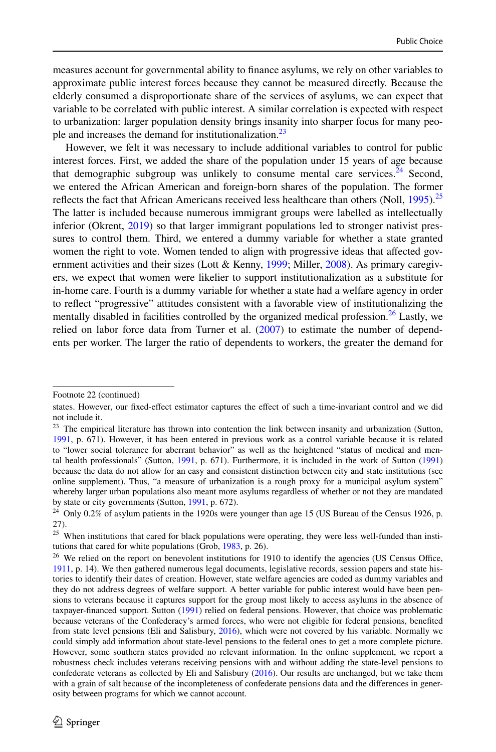measures account for governmental ability to finance asylums, we rely on other variables to approximate public interest forces because they cannot be measured directly. Because the elderly consumed a disproportionate share of the services of asylums, we can expect that variable to be correlated with public interest. A similar correlation is expected with respect to urbanization: larger population density brings insanity into sharper focus for many peo-ple and increases the demand for institutionalization.<sup>[23](#page-13-0)</sup>

However, we felt it was necessary to include additional variables to control for public interest forces. First, we added the share of the population under 15 years of age because that demographic subgroup was unlikely to consume mental care services.<sup>[24](#page-13-1)</sup> Second, we entered the African American and foreign-born shares of the population. The former reflects the fact that African Americans received less healthcare than others (Noll,  $1995$ ).<sup>[25](#page-13-2)</sup> The latter is included because numerous immigrant groups were labelled as intellectually inferior (Okrent, [2019](#page-29-29)) so that larger immigrant populations led to stronger nativist pressures to control them. Third, we entered a dummy variable for whether a state granted women the right to vote. Women tended to align with progressive ideas that affected gov-ernment activities and their sizes (Lott & Kenny, [1999;](#page-28-29) Miller, [2008](#page-29-11)). As primary caregivers, we expect that women were likelier to support institutionalization as a substitute for in-home care. Fourth is a dummy variable for whether a state had a welfare agency in order to reflect "progressive" attitudes consistent with a favorable view of institutionalizing the mentally disabled in facilities controlled by the organized medical profession.<sup>[26](#page-13-3)</sup> Lastly, we relied on labor force data from Turner et al. ([2007\)](#page-29-30) to estimate the number of dependents per worker. The larger the ratio of dependents to workers, the greater the demand for

Footnote 22 (continued)

states. However, our fixed-effect estimator captures the effect of such a time-invariant control and we did not include it.

<span id="page-13-0"></span><sup>&</sup>lt;sup>23</sup> The empirical literature has thrown into contention the link between insanity and urbanization (Sutton, [1991,](#page-29-1) p. 671). However, it has been entered in previous work as a control variable because it is related to "lower social tolerance for aberrant behavior" as well as the heightened "status of medical and mental health professionals" (Sutton, [1991,](#page-29-1) p. 671). Furthermore, it is included in the work of Sutton ([1991\)](#page-29-1) because the data do not allow for an easy and consistent distinction between city and state institutions (see online supplement). Thus, "a measure of urbanization is a rough proxy for a municipal asylum system" whereby larger urban populations also meant more asylums regardless of whether or not they are mandated by state or city governments (Sutton, [1991,](#page-29-1) p. 672).

<span id="page-13-1"></span><sup>&</sup>lt;sup>24</sup> Only 0.2% of asylum patients in the 1920s were younger than age 15 (US Bureau of the Census 1926, p. 27).

<span id="page-13-2"></span><sup>&</sup>lt;sup>25</sup> When institutions that cared for black populations were operating, they were less well-funded than insti-tutions that cared for white populations (Grob, [1983](#page-27-2), p. 26).

<span id="page-13-3"></span> $26$  We relied on the report on benevolent institutions for 1910 to identify the agencies (US Census Office, [1911,](#page-29-31) p. 14). We then gathered numerous legal documents, legislative records, session papers and state histories to identify their dates of creation. However, state welfare agencies are coded as dummy variables and they do not address degrees of welfare support. A better variable for public interest would have been pensions to veterans because it captures support for the group most likely to access asylums in the absence of taxpayer-financed support. Sutton [\(1991](#page-29-1)) relied on federal pensions. However, that choice was problematic because veterans of the Confederacy's armed forces, who were not eligible for federal pensions, benefited from state level pensions (Eli and Salisbury, [2016\)](#page-27-20), which were not covered by his variable. Normally we could simply add information about state-level pensions to the federal ones to get a more complete picture. However, some southern states provided no relevant information. In the online supplement, we report a robustness check includes veterans receiving pensions with and without adding the state-level pensions to confederate veterans as collected by Eli and Salisbury ([2016\)](#page-27-20). Our results are unchanged, but we take them with a grain of salt because of the incompleteness of confederate pensions data and the differences in generosity between programs for which we cannot account.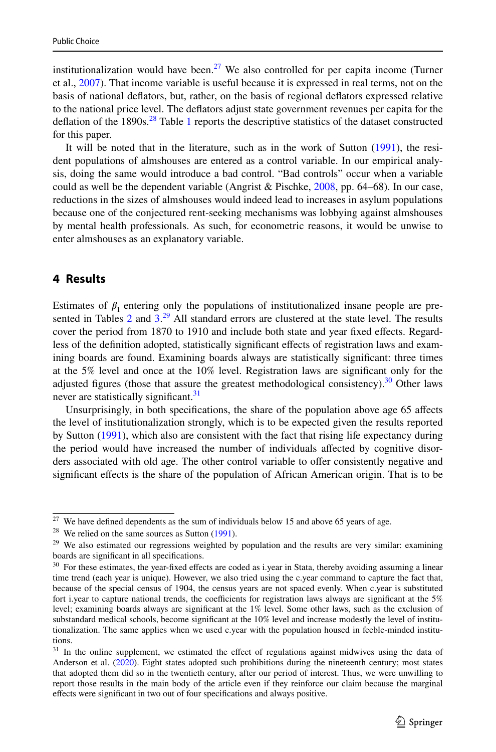institutionalization would have been.<sup>[27](#page-14-1)</sup> We also controlled for per capita income (Turner et al., [2007\)](#page-29-30). That income variable is useful because it is expressed in real terms, not on the basis of national deflators, but, rather, on the basis of regional deflators expressed relative to the national price level. The deflators adjust state government revenues per capita for the deflation of the 1890s.<sup>[28](#page-14-2)</sup> Table [1](#page-15-0) reports the descriptive statistics of the dataset constructed for this paper.

It will be noted that in the literature, such as in the work of Sutton [\(1991](#page-29-1)), the resident populations of almshouses are entered as a control variable. In our empirical analysis, doing the same would introduce a bad control. "Bad controls" occur when a variable could as well be the dependent variable (Angrist & Pischke,  $2008$ , pp. 64–68). In our case, reductions in the sizes of almshouses would indeed lead to increases in asylum populations because one of the conjectured rent-seeking mechanisms was lobbying against almshouses by mental health professionals. As such, for econometric reasons, it would be unwise to enter almshouses as an explanatory variable.

# <span id="page-14-0"></span>**4 Results**

Estimates of  $\beta_1$  entering only the populations of institutionalized insane people are presented in Tables  $2$  and  $3<sup>29</sup>$  $3<sup>29</sup>$  $3<sup>29</sup>$  All standard errors are clustered at the state level. The results cover the period from 1870 to 1910 and include both state and year fixed effects. Regardless of the definition adopted, statistically significant effects of registration laws and examining boards are found. Examining boards always are statistically significant: three times at the 5% level and once at the 10% level. Registration laws are significant only for the adjusted figures (those that assure the greatest methodological consistency). $30$  Other laws never are statistically significant. $31$ 

Unsurprisingly, in both specifications, the share of the population above age 65 affects the level of institutionalization strongly, which is to be expected given the results reported by Sutton [\(1991](#page-29-1)), which also are consistent with the fact that rising life expectancy during the period would have increased the number of individuals affected by cognitive disorders associated with old age. The other control variable to offer consistently negative and significant effects is the share of the population of African American origin. That is to be

<span id="page-14-1"></span> $27$  We have defined dependents as the sum of individuals below 15 and above 65 years of age.

<span id="page-14-2"></span> $28$  We relied on the same sources as Sutton ([1991\)](#page-29-1).

<span id="page-14-3"></span> $29$  We also estimated our regressions weighted by population and the results are very similar: examining boards are significant in all specifications.

<span id="page-14-4"></span><sup>&</sup>lt;sup>30</sup> For these estimates, the year-fixed effects are coded as i.year in Stata, thereby avoiding assuming a linear time trend (each year is unique). However, we also tried using the c.year command to capture the fact that, because of the special census of 1904, the census years are not spaced evenly. When c.year is substituted fort i.year to capture national trends, the coefficients for registration laws always are significant at the 5% level; examining boards always are significant at the 1% level. Some other laws, such as the exclusion of substandard medical schools, become significant at the 10% level and increase modestly the level of institutionalization. The same applies when we used c.year with the population housed in feeble-minded institutions.

<span id="page-14-5"></span><sup>&</sup>lt;sup>31</sup> In the online supplement, we estimated the effect of regulations against midwives using the data of Anderson et al. ([2020\)](#page-27-4). Eight states adopted such prohibitions during the nineteenth century; most states that adopted them did so in the twentieth century, after our period of interest. Thus, we were unwilling to report those results in the main body of the article even if they reinforce our claim because the marginal effects were significant in two out of four specifications and always positive.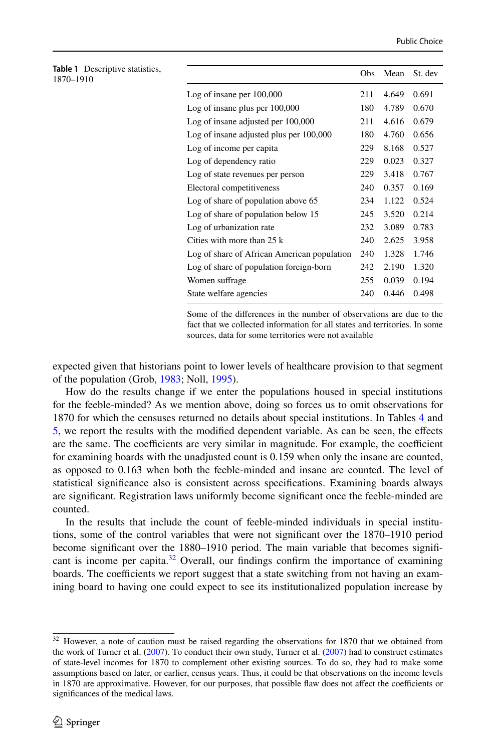<span id="page-15-0"></span>

| Table 1 Descriptive statistics,<br>1870-1910 |                                                                      | Obs | Mean  | St. dev |
|----------------------------------------------|----------------------------------------------------------------------|-----|-------|---------|
|                                              | Log of insane per $100,000$                                          | 211 | 4.649 | 0.691   |
|                                              | Log of insane plus per $100,000$                                     | 180 | 4.789 | 0.670   |
|                                              | Log of insane adjusted per 100,000                                   | 211 | 4.616 | 0.679   |
|                                              | Log of insane adjusted plus per 100,000                              | 180 | 4.760 | 0.656   |
|                                              | Log of income per capita                                             | 229 | 8.168 | 0.527   |
|                                              | Log of dependency ratio                                              | 229 | 0.023 | 0.327   |
|                                              | Log of state revenues per person                                     | 229 | 3.418 | 0.767   |
|                                              | Electoral competitiveness                                            | 240 | 0.357 | 0.169   |
|                                              | Log of share of population above 65                                  | 234 | 1.122 | 0.524   |
|                                              | Log of share of population below 15                                  | 245 | 3.520 | 0.214   |
|                                              | Log of urbanization rate                                             | 232 | 3.089 | 0.783   |
|                                              | Cities with more than 25 k                                           | 240 | 2.625 | 3.958   |
|                                              | Log of share of African American population                          | 240 | 1.328 | 1.746   |
|                                              | Log of share of population foreign-born                              | 242 | 2.190 | 1.320   |
|                                              | Women suffrage                                                       | 255 | 0.039 | 0.194   |
|                                              | State welfare agencies                                               | 240 | 0.446 | 0.498   |
|                                              | Some of the differences in the number of observations are due to the |     |       |         |

Some of the differences in the number of observations are due to the fact that we collected information for all states and territories. In some sources, data for some territories were not available

expected given that historians point to lower levels of healthcare provision to that segment of the population (Grob, [1983;](#page-27-2) Noll, [1995](#page-29-21)).

How do the results change if we enter the populations housed in special institutions for the feeble-minded? As we mention above, doing so forces us to omit observations for 1870 for which the censuses returned no details about special institutions. In Tables [4](#page-20-0) and [5,](#page-22-0) we report the results with the modified dependent variable. As can be seen, the effects are the same. The coefficients are very similar in magnitude. For example, the coefficient for examining boards with the unadjusted count is 0.159 when only the insane are counted, as opposed to 0.163 when both the feeble-minded and insane are counted. The level of statistical significance also is consistent across specifications. Examining boards always are significant. Registration laws uniformly become significant once the feeble-minded are counted.

In the results that include the count of feeble-minded individuals in special institutions, some of the control variables that were not significant over the 1870–1910 period become significant over the 1880–1910 period. The main variable that becomes significant is income per capita. $32$  Overall, our findings confirm the importance of examining boards. The coefficients we report suggest that a state switching from not having an examining board to having one could expect to see its institutionalized population increase by

<span id="page-15-1"></span><sup>&</sup>lt;sup>32</sup> However, a note of caution must be raised regarding the observations for 1870 that we obtained from the work of Turner et al. ([2007\)](#page-29-30). To conduct their own study, Turner et al. ([2007\)](#page-29-30) had to construct estimates of state-level incomes for 1870 to complement other existing sources. To do so, they had to make some assumptions based on later, or earlier, census years. Thus, it could be that observations on the income levels in 1870 are approximative. However, for our purposes, that possible flaw does not affect the coefficients or significances of the medical laws.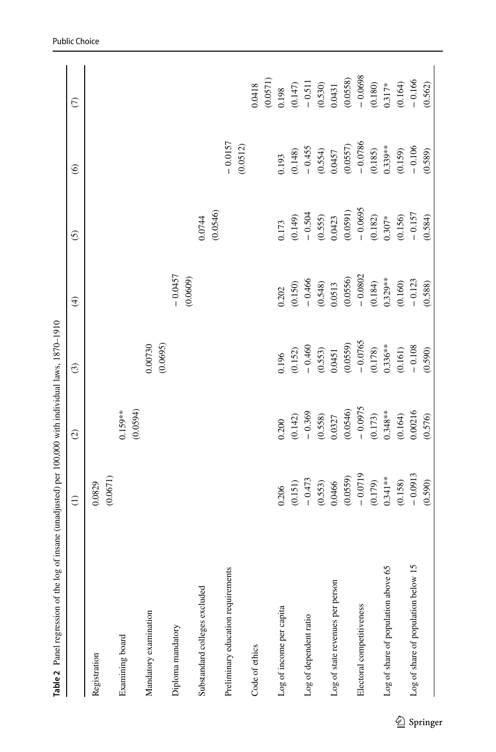<span id="page-16-0"></span>

| Table 2 Panel regression of the log of insane (unadjusted) per 100,000 with individual laws, 1870-1910 |                    |                        |                     |                       |                    |                       |                         |
|--------------------------------------------------------------------------------------------------------|--------------------|------------------------|---------------------|-----------------------|--------------------|-----------------------|-------------------------|
|                                                                                                        | $\ominus$          | $\odot$                | $\odot$             | $\bigoplus$           | $\overline{6}$     | $\circledcirc$        | $\widehat{\mathcal{C}}$ |
| Registration                                                                                           | (0.0671)<br>0.0829 |                        |                     |                       |                    |                       |                         |
| Examining board                                                                                        |                    | (0.0594)<br>$0.159***$ |                     |                       |                    |                       |                         |
| Mandatory examination                                                                                  |                    |                        | (0.0695)<br>0.00730 |                       |                    |                       |                         |
| Diploma mandatory                                                                                      |                    |                        |                     | $-0.0457$<br>(0.0609) |                    |                       |                         |
| Substandard colleges excluded                                                                          |                    |                        |                     |                       | (0.0546)<br>0.0744 |                       |                         |
| Preliminary education requirements                                                                     |                    |                        |                     |                       |                    | $-0.0157$<br>(0.0512) |                         |
| Code of ethics                                                                                         |                    |                        |                     |                       |                    |                       | 0.0418                  |
|                                                                                                        |                    |                        |                     |                       |                    |                       | (0.0571)                |
| Log of income per capita                                                                               | 0.206              | 0.200                  | 0.196               | 0.202                 | 0.173              | 0.193                 | 0.198                   |
|                                                                                                        | (0.151)            | (0.142)                | (0.152)             | (0.150)               | (0.149)            | (0.148)               | (0.147)                 |
| Log of dependent ratio                                                                                 | $-0.473$           | $-0.369$               | $-0.460$            | $-0.466$              | $-0.504$           | $-0.455$              | $-0.511$                |
|                                                                                                        | (0.553)            | (0.558)                | (0.553)             | (0.548)               | (0.555)            | (0.554)               | (0.530)                 |
| Log of state revenues per person                                                                       | 0.0466             | 0.0327                 | 0.0451              | 0.0513                | 0.0423             | 0.0457                | 0.0431                  |
|                                                                                                        | (0.0559)           | (0.0546)               | (0.0559)            | (0.0556)              | (0.0591)           | (0.0557)              | (0.0558)                |
| Electoral competitiveness                                                                              | $-0.0719$          | $-0.0975$              | $-0.0765$           | $-0.0802$             | $-0.0695$          | $-0.0786$             | $-0.0698$               |
|                                                                                                        | (0.179)            | (0.173)                | (0.178)             | $(0.184)$<br>0.329**  | (0.182)            | (0.185)               | (0.180)                 |
| Log of share of population above 65                                                                    | $0.341***$         | $0.348***$             | $0.336***$          |                       | $0.307*$           | $0.339***$            | $0.317*$                |
|                                                                                                        | (0.158)            | (0.164)                | (0.161)             | (0.160)               | (0.156)            | (0.159)               | (0.164)                 |
| Log of share of population below 1.                                                                    | $-0.0913$          | 0.00216                | $-0.108$            | $-0.123$              | $-0.157$           | $-0.106$              | $-0.166$                |
|                                                                                                        | (0.590)            | (0.576)                | (0.590)             | (0.588)               | (0.584)            | (0.589)               | (0.562)                 |
|                                                                                                        |                    |                        |                     |                       |                    |                       |                         |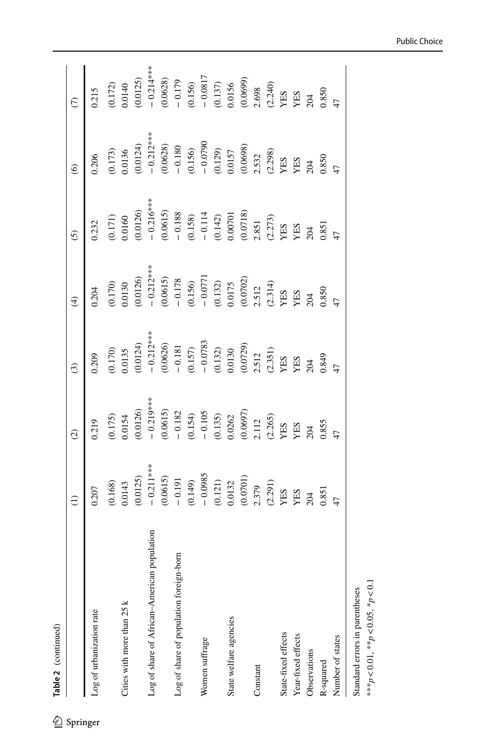| İ      | ֠<br>֧֧֧ׅׅ֦֧ׅׅ֧ׅ֧֧ׅ֧ׅ֧֧ׅ֧֧֚֚֚֚֚֚֚֚֚֚֚֚֚֚֚֚֚֚֚֚֚֚֚֚֚֚֚֚֚֚֚֚֚֝֝֓֜֓֡֜֓֡֓֡֬֜֓֡֓֞֡֜֓֞֜֓֝֬֜֜֝֬֜֝֬ |
|--------|---------------------------------------------------------------------------------------------|
| ı      | J                                                                                           |
| Φ      |                                                                                             |
| ŗ<br>ľ | ē                                                                                           |
|        |                                                                                             |

|                                                  | $\widehat{\Xi}$                                                                                                                                                                                                                      | $\widehat{\mathcal{O}}$                                                                                                                                                      | $\widehat{c}$                                                                                                                                                                         |                                                                                                                                                                                                                                                                                     |                                                                                                                                                                                                                                                                                           | $\odot$                                                                                                                                                                                                                                                       |                                                                                                                                                                                                                                                                                     |
|--------------------------------------------------|--------------------------------------------------------------------------------------------------------------------------------------------------------------------------------------------------------------------------------------|------------------------------------------------------------------------------------------------------------------------------------------------------------------------------|---------------------------------------------------------------------------------------------------------------------------------------------------------------------------------------|-------------------------------------------------------------------------------------------------------------------------------------------------------------------------------------------------------------------------------------------------------------------------------------|-------------------------------------------------------------------------------------------------------------------------------------------------------------------------------------------------------------------------------------------------------------------------------------------|---------------------------------------------------------------------------------------------------------------------------------------------------------------------------------------------------------------------------------------------------------------|-------------------------------------------------------------------------------------------------------------------------------------------------------------------------------------------------------------------------------------------------------------------------------------|
| Log of urbanization rate                         | 0.207                                                                                                                                                                                                                                | 0.219                                                                                                                                                                        | 0.209                                                                                                                                                                                 | 0.204                                                                                                                                                                                                                                                                               | 0.232                                                                                                                                                                                                                                                                                     | 0.206                                                                                                                                                                                                                                                         | 0.215                                                                                                                                                                                                                                                                               |
|                                                  |                                                                                                                                                                                                                                      |                                                                                                                                                                              |                                                                                                                                                                                       |                                                                                                                                                                                                                                                                                     |                                                                                                                                                                                                                                                                                           |                                                                                                                                                                                                                                                               |                                                                                                                                                                                                                                                                                     |
| Cities with more than 25 k                       | $(0.168)$<br>$0.0143$                                                                                                                                                                                                                | $(0.175)$<br>$0.0154$                                                                                                                                                        |                                                                                                                                                                                       |                                                                                                                                                                                                                                                                                     |                                                                                                                                                                                                                                                                                           |                                                                                                                                                                                                                                                               |                                                                                                                                                                                                                                                                                     |
|                                                  |                                                                                                                                                                                                                                      | (0.0126)                                                                                                                                                                     |                                                                                                                                                                                       |                                                                                                                                                                                                                                                                                     |                                                                                                                                                                                                                                                                                           |                                                                                                                                                                                                                                                               | (0.172)<br>0.0140<br>0.0125)<br>- 0.214***<br>- 0.179<br>- 0.156)<br>- 0.0817<br>- 0.0699)<br>0.00699)<br>0.00699<br>2.088<br>2.088<br>2.088<br>2.0069<br>2.005<br>2.005<br>2.005<br>2.005<br>2.005<br>2.005<br>2.005<br>2.005<br>2.005<br>2.005<br>2.005<br>2.005<br>2.005<br>2.00 |
| population<br>Log of share of African-American p |                                                                                                                                                                                                                                      |                                                                                                                                                                              |                                                                                                                                                                                       |                                                                                                                                                                                                                                                                                     |                                                                                                                                                                                                                                                                                           |                                                                                                                                                                                                                                                               |                                                                                                                                                                                                                                                                                     |
|                                                  | (0.0125)<br>$-$ 0.211 ***<br>$0.0615$<br>$-$ 0.191<br>$-$ 0.191<br>$-$ 0.0985<br>$-$ 0.0985<br>$-$ 0.0032<br>$-$ 0.0132<br>$-$ 0.0132<br>$-$ 0.0701)<br>$-$ 0.0701)<br>$-$ 0.291<br>$-$ 2.391<br>$-$ 2.391<br>$-$ 2.391<br>$-$ 2.391 | $-0.219***$<br>(0.0615)                                                                                                                                                      | (0.170)<br>0.0135<br>$(-0.0124)$<br>$(-0.0124)$<br>$(-0.0026)$<br>$(-0.181)$<br>$(-0.157)$<br>$(-0.0783)$<br>$(-0.072)$<br>0.00130<br>0.00130<br>0.00729)<br>XES<br>XES<br>XES<br>XES | (0.170)<br>0.0130<br>0.0130<br>0.0135<br>0.0155<br>0.0177<br>0.0177<br>0.0175<br>0.00777<br>0.00777<br>0.00777<br>0.00777<br>0.00777<br>0.0077<br>0.0077<br>0.0077<br>0.0077<br>0.0077<br>0.0077<br>0.0077<br>0.0077<br>0.0077<br>0.0077<br>0.0077<br>2.512<br>2.52<br>2.52<br>2.52 | (0.171)<br>0.0160<br>0.0163<br>0.0163<br>0.0153<br>0.188<br>0.00701<br>0.142)<br>0.007018<br>0.007018<br>0.007018<br>0.007018<br>0.007018<br>2.85<br>2.85<br>2.85<br>2.85<br>2.85<br>2.85<br>2.85<br>2.85<br>2.85<br>2.85<br>2.85<br>2.85<br>2.85<br>2.85<br>2.85<br>2.85<br>2.85<br>2.85 | (0.173)<br>$0.0136$<br>$0.0124$<br>$0.0628$<br>$0.156$<br>$0.156$<br>$0.156$<br>$0.059$<br>$0.057$<br>$0.057$<br>$0.057$<br>$0.057$<br>$0.058$<br>$0.0698$<br>$0.057$<br>$0.059$<br>$0.057$<br>$0.059$<br>$0.057$<br>$0.059$<br>$0.057$<br>$0.059$<br>$0.057$ |                                                                                                                                                                                                                                                                                     |
| Log of share of population foreign-born          |                                                                                                                                                                                                                                      |                                                                                                                                                                              |                                                                                                                                                                                       |                                                                                                                                                                                                                                                                                     |                                                                                                                                                                                                                                                                                           |                                                                                                                                                                                                                                                               |                                                                                                                                                                                                                                                                                     |
|                                                  |                                                                                                                                                                                                                                      | $\begin{array}{r} -0.182 \\ -0.154 \\ -0.195 \\ 0.0262 \\ 0.00697 \\ 0.00697 \\ 2.112 \\ 2.456 \\ \text{YBS} \\ 2.45 \\ 2.06 \\ 3.085 \\ \text{XSS} \\ 0.855 \\ \end{array}$ |                                                                                                                                                                                       |                                                                                                                                                                                                                                                                                     |                                                                                                                                                                                                                                                                                           |                                                                                                                                                                                                                                                               |                                                                                                                                                                                                                                                                                     |
| Women suffrage                                   |                                                                                                                                                                                                                                      |                                                                                                                                                                              |                                                                                                                                                                                       |                                                                                                                                                                                                                                                                                     |                                                                                                                                                                                                                                                                                           |                                                                                                                                                                                                                                                               |                                                                                                                                                                                                                                                                                     |
|                                                  |                                                                                                                                                                                                                                      |                                                                                                                                                                              |                                                                                                                                                                                       |                                                                                                                                                                                                                                                                                     |                                                                                                                                                                                                                                                                                           |                                                                                                                                                                                                                                                               |                                                                                                                                                                                                                                                                                     |
| State welfare agencies                           |                                                                                                                                                                                                                                      |                                                                                                                                                                              |                                                                                                                                                                                       |                                                                                                                                                                                                                                                                                     |                                                                                                                                                                                                                                                                                           |                                                                                                                                                                                                                                                               |                                                                                                                                                                                                                                                                                     |
|                                                  |                                                                                                                                                                                                                                      |                                                                                                                                                                              |                                                                                                                                                                                       |                                                                                                                                                                                                                                                                                     |                                                                                                                                                                                                                                                                                           |                                                                                                                                                                                                                                                               |                                                                                                                                                                                                                                                                                     |
| Constant                                         |                                                                                                                                                                                                                                      |                                                                                                                                                                              |                                                                                                                                                                                       |                                                                                                                                                                                                                                                                                     |                                                                                                                                                                                                                                                                                           |                                                                                                                                                                                                                                                               |                                                                                                                                                                                                                                                                                     |
|                                                  |                                                                                                                                                                                                                                      |                                                                                                                                                                              |                                                                                                                                                                                       |                                                                                                                                                                                                                                                                                     |                                                                                                                                                                                                                                                                                           |                                                                                                                                                                                                                                                               |                                                                                                                                                                                                                                                                                     |
| State-fixed effects                              |                                                                                                                                                                                                                                      |                                                                                                                                                                              |                                                                                                                                                                                       |                                                                                                                                                                                                                                                                                     |                                                                                                                                                                                                                                                                                           |                                                                                                                                                                                                                                                               |                                                                                                                                                                                                                                                                                     |
| Year-fixed effects                               |                                                                                                                                                                                                                                      |                                                                                                                                                                              |                                                                                                                                                                                       |                                                                                                                                                                                                                                                                                     |                                                                                                                                                                                                                                                                                           |                                                                                                                                                                                                                                                               |                                                                                                                                                                                                                                                                                     |
| Observations                                     |                                                                                                                                                                                                                                      |                                                                                                                                                                              |                                                                                                                                                                                       |                                                                                                                                                                                                                                                                                     |                                                                                                                                                                                                                                                                                           |                                                                                                                                                                                                                                                               |                                                                                                                                                                                                                                                                                     |
| R-squared                                        | 0.851                                                                                                                                                                                                                                |                                                                                                                                                                              |                                                                                                                                                                                       |                                                                                                                                                                                                                                                                                     |                                                                                                                                                                                                                                                                                           |                                                                                                                                                                                                                                                               |                                                                                                                                                                                                                                                                                     |
| Number of states                                 |                                                                                                                                                                                                                                      |                                                                                                                                                                              |                                                                                                                                                                                       |                                                                                                                                                                                                                                                                                     |                                                                                                                                                                                                                                                                                           |                                                                                                                                                                                                                                                               |                                                                                                                                                                                                                                                                                     |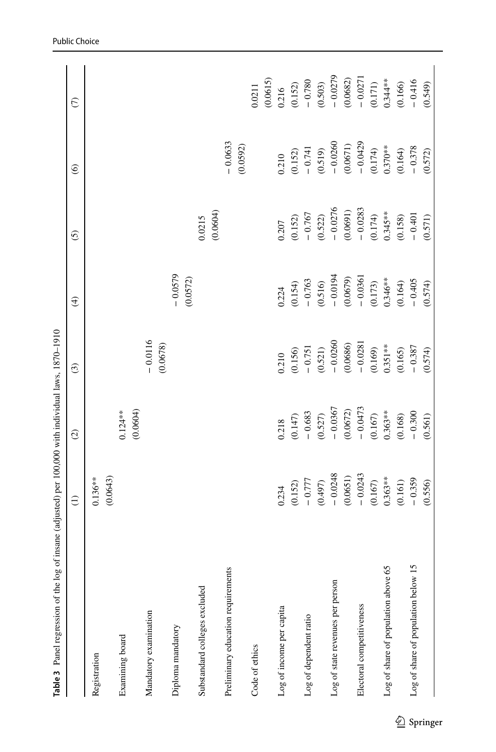<span id="page-18-0"></span>

| Table 3 Panel regression of the log | of insane (adjusted) per 100,000 with individual laws, 1870-1910 |                       |                       |                       |                        |                       |                        |
|-------------------------------------|------------------------------------------------------------------|-----------------------|-----------------------|-----------------------|------------------------|-----------------------|------------------------|
|                                     | $\widehat{\Xi}$                                                  | $\odot$               | $\odot$               | $\bigoplus$           | $\odot$                | $\circledcirc$        | $\widehat{C}$          |
| Registration                        | (0.0643)<br>$0.136***$                                           |                       |                       |                       |                        |                       |                        |
| Examining board                     |                                                                  | (0.0604)<br>$0.124**$ |                       |                       |                        |                       |                        |
| Mandatory examination               |                                                                  |                       | $-0.0116$<br>(0.0678) |                       |                        |                       |                        |
| Diploma mandatory                   |                                                                  |                       |                       | $-0.0579$<br>(0.0572) |                        |                       |                        |
| Substandard colleges excluded       |                                                                  |                       |                       |                       | (0.0604)<br>0.0215     |                       |                        |
| Preliminary education requirements  |                                                                  |                       |                       |                       |                        | $-0.0633$<br>(0.0592) |                        |
| Code of ethics                      |                                                                  |                       |                       |                       |                        |                       | 0.0211                 |
|                                     |                                                                  |                       |                       |                       |                        |                       | (0.0615)               |
| Log of income per capita            | 0.234                                                            | 0.218                 | 0.210                 | 0.224                 | 0.207                  | 0.210                 | 0.216                  |
|                                     | (0.152)                                                          | (0.147)               | (0.156)               | (0.154)               | (0.152)                | (0.152)               | (0.152)                |
| Log of dependent ratio              | $-0.777$                                                         | $-0.683$              | $-0.751$              | $-0.763$              | $-0.767$               | $-0.741$              | $-0.780$               |
|                                     | (0.497)                                                          | (0.527)               | (0.521)               | (0.516)               | $(0.522)$<br>- 0.0276  | $(0.519)$<br>- 0.0260 | $(0.503)$<br>- 0.0279  |
| Log of state revenues per person    | $-0.0248$                                                        | $-0.0367$             | $-0.0260$             | $-0.0194$             |                        |                       |                        |
|                                     | (0.0651)                                                         | (0.0672)              | (0.0686)              | (0.0679)              | $(0.0691)$<br>- 0.0283 | (0.0671)              |                        |
| Electoral competitiveness           | $-0.0243$                                                        | $-0.0473$             | $-0.0281$             | $-0.0361$             |                        | $-0.0429$             | $(0.0682)$<br>- 0.0271 |
|                                     | $(0.167)$                                                        | $(0.167)$             | (0.169)               | $(0.173)$<br>0.346**  | $(0.174)$<br>0.345**   | $(0.174)$<br>0.370**  | $(0.171)$<br>0.344**   |
| Log of share of population above 65 | $0.363**$                                                        | $0.363**$             | $0.351***$            |                       |                        |                       |                        |
|                                     | (0.161)                                                          | (0.168)               | (0.165)               | (0.164)               | (0.158)                | (0.164)               | (0.166)                |
| Log of share of population below 15 | $-0.359$                                                         | $-0.300$              | $-0.387$              | $-0.405$              | $-0.401$               | $-0.378$              | $-0.416$               |
|                                     | (0.556)                                                          | (0.561)               | (0.574)               | (0.574)               | (0.571)                | (0.572)               | (0.549)                |
|                                     |                                                                  |                       |                       |                       |                        |                       |                        |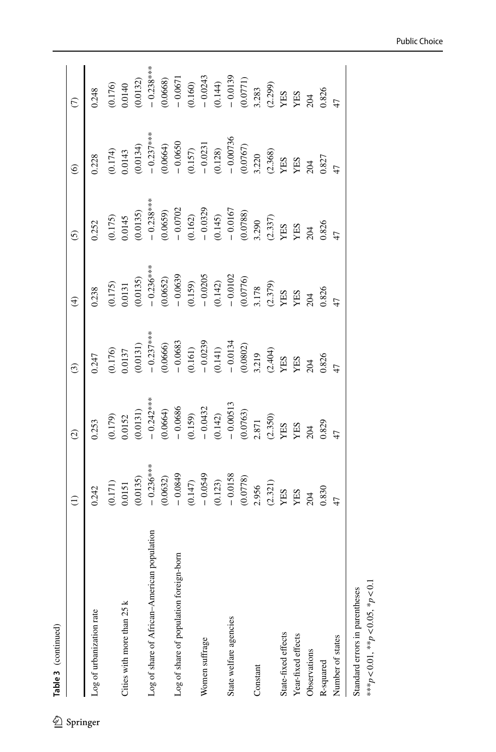|        | ׇׇ֠֕֡<br>:<br>יו |
|--------|------------------|
| z<br>Φ |                  |
|        |                  |
| Tabl   |                  |
|        |                  |

|                                             | $\widehat{\Xi}$                                                                                                                                                                                           | $\widehat{\mathcal{Q}}$                                                                                   | $\widehat{c}$                                                                                                                                                                                                                                                                                                                                                                                                   | $\widehat{\mathfrak{t}}$                                                                                                         | $\widehat{c}$                                                                                                                                                                                                | $\odot$                                                                                                                                                                                                                                                                                                                                                                           |                                                                                                                                                                                                                                                                                     |
|---------------------------------------------|-----------------------------------------------------------------------------------------------------------------------------------------------------------------------------------------------------------|-----------------------------------------------------------------------------------------------------------|-----------------------------------------------------------------------------------------------------------------------------------------------------------------------------------------------------------------------------------------------------------------------------------------------------------------------------------------------------------------------------------------------------------------|----------------------------------------------------------------------------------------------------------------------------------|--------------------------------------------------------------------------------------------------------------------------------------------------------------------------------------------------------------|-----------------------------------------------------------------------------------------------------------------------------------------------------------------------------------------------------------------------------------------------------------------------------------------------------------------------------------------------------------------------------------|-------------------------------------------------------------------------------------------------------------------------------------------------------------------------------------------------------------------------------------------------------------------------------------|
| Log of urbanization rate                    | 0.242                                                                                                                                                                                                     | 0.253                                                                                                     | 0.247                                                                                                                                                                                                                                                                                                                                                                                                           | 0.238                                                                                                                            | 0.252                                                                                                                                                                                                        | 0.228                                                                                                                                                                                                                                                                                                                                                                             | 0.248                                                                                                                                                                                                                                                                               |
|                                             |                                                                                                                                                                                                           |                                                                                                           |                                                                                                                                                                                                                                                                                                                                                                                                                 | 0.175                                                                                                                            |                                                                                                                                                                                                              |                                                                                                                                                                                                                                                                                                                                                                                   |                                                                                                                                                                                                                                                                                     |
| Cities with more than 25 k                  | $(171)$<br>$(0.171)$                                                                                                                                                                                      | $(0.179)$<br>$0.0152$                                                                                     | $(0.176)$<br>$0.0137$                                                                                                                                                                                                                                                                                                                                                                                           | 0.0131                                                                                                                           | $(0.175)$<br>$0.0145$                                                                                                                                                                                        | $(0.174)$<br>$0.0143$                                                                                                                                                                                                                                                                                                                                                             |                                                                                                                                                                                                                                                                                     |
|                                             | 0.0135)                                                                                                                                                                                                   | 0.0131)                                                                                                   | 0.0131)                                                                                                                                                                                                                                                                                                                                                                                                         | 0.0135)                                                                                                                          | (0.0135)                                                                                                                                                                                                     | 0.0134)                                                                                                                                                                                                                                                                                                                                                                           |                                                                                                                                                                                                                                                                                     |
| Log of share of African-American population | $-0.236***$                                                                                                                                                                                               |                                                                                                           | $-0.237***$                                                                                                                                                                                                                                                                                                                                                                                                     | $-0.236***$                                                                                                                      | $-0.238***$                                                                                                                                                                                                  |                                                                                                                                                                                                                                                                                                                                                                                   | (0.176)<br>0.0140<br>0.0132)<br>0.0132<br>0.0583<br>0.0571<br>0.0711<br>0.0711<br>0.0711<br>0.0711<br>0.0711<br>0.0711<br>0.0711<br>0.0711<br>0.0712<br>0.0712<br>0.0712<br>0.0712<br>0.0712<br>0.0712<br>0.0712<br>0.0712<br>0.0712<br>0.0712<br>0.0712<br>0.0712<br>0.0712<br>0.0 |
|                                             | (0.0632)                                                                                                                                                                                                  | $-0.242***$<br>(0.0664)<br>- 0.0686                                                                       |                                                                                                                                                                                                                                                                                                                                                                                                                 |                                                                                                                                  |                                                                                                                                                                                                              |                                                                                                                                                                                                                                                                                                                                                                                   |                                                                                                                                                                                                                                                                                     |
| Log of share of population foreign-born     |                                                                                                                                                                                                           |                                                                                                           |                                                                                                                                                                                                                                                                                                                                                                                                                 |                                                                                                                                  |                                                                                                                                                                                                              |                                                                                                                                                                                                                                                                                                                                                                                   |                                                                                                                                                                                                                                                                                     |
|                                             | $\begin{array}{r} -0.0849 \\ (0.147) \\ -0.0549 \\ (0.123) \\ -0.0158 \\ (0.0778) \\ 2.956 \\ (2.321) \\ \text{YES} \\ \text{YES} \\ \text{YES} \\ \text{YES} \\ \text{YES} \\ \text{YES} \\ \end{array}$ | (0.159)<br>$-0.0432$<br>(0.142)<br>$-0.00513$<br>$-0.00513$<br>(0.0763)<br>2.871<br>(2.350)<br>YES<br>YES | $\begin{array}{l} (0.0666) \\ -0.0683 \\ (0.161) \\ -0.0239 \\ (0.141) \\ -0.0134 \\ -0.0134 \\ (0.0802) \\ 3.219 \\ \text{YES} \\ \text{YES} \\ \text{YES} \\ \text{YES} \\ \text{YES} \\ \text{YES} \\ \text{YES} \\ \text{YES} \\ \text{YES} \\ \text{YES} \\ \text{YES} \\ \text{YES} \\ \text{YES} \\ \text{YES} \\ \text{YES} \\ \text{YES} \\ \text{YES} \\ \text{YES} \\ \text{YES} \\ \text{YES} \\ \$ | (0.0652)<br>$-$ 0.0659<br>(0.159)<br>$-$ 0.0205<br>$-$ 0.0205<br>(0.142)<br>$-$ 0.0102<br>$-$ 0.0102<br>(0.0776)<br>3.178<br>XES | $(0.0659) \n- 0.0702 \n- 0.0329 \n- 0.0329 \n- 0.0329 \n- 0.0167 \n- 0.0167 \n- 0.0167 \n- 0.0167 \n- 0.0167 \n- 0.0167 \n- 0.0167 \n- 0.0167 \n- 0.0167 \n- 0.0329 \n- 0.0329 \n- 0.0329 \n- 0.0329 \n- 0.$ | $\begin{array}{r} -0.237***\\ -0.0664)\\ -0.0650\\ -0.050\\ -0.0731\\ -0.0231\\ -0.00736\\ -0.0073\\ -0.00767\\ -0.0076\\ 2.20\\ \text{FBS} \\ \text{X} \text{B} \\ \text{X} \text{C} \\ \text{X} \text{D} \\ \text{X} \text{D} \\ \text{X} \text{D} \\ \text{X} \text{D} \\ \text{X} \text{D} \\ \text{X} \text{D} \\ \text{X} \text{D} \\ \text{X} \text{D} \\ \text{X} \text{$ |                                                                                                                                                                                                                                                                                     |
| Women suffrage                              |                                                                                                                                                                                                           |                                                                                                           |                                                                                                                                                                                                                                                                                                                                                                                                                 |                                                                                                                                  |                                                                                                                                                                                                              |                                                                                                                                                                                                                                                                                                                                                                                   |                                                                                                                                                                                                                                                                                     |
|                                             |                                                                                                                                                                                                           |                                                                                                           |                                                                                                                                                                                                                                                                                                                                                                                                                 |                                                                                                                                  |                                                                                                                                                                                                              |                                                                                                                                                                                                                                                                                                                                                                                   |                                                                                                                                                                                                                                                                                     |
| State welfare agencies                      |                                                                                                                                                                                                           |                                                                                                           |                                                                                                                                                                                                                                                                                                                                                                                                                 |                                                                                                                                  |                                                                                                                                                                                                              |                                                                                                                                                                                                                                                                                                                                                                                   |                                                                                                                                                                                                                                                                                     |
|                                             |                                                                                                                                                                                                           |                                                                                                           |                                                                                                                                                                                                                                                                                                                                                                                                                 |                                                                                                                                  |                                                                                                                                                                                                              |                                                                                                                                                                                                                                                                                                                                                                                   |                                                                                                                                                                                                                                                                                     |
| Constant                                    |                                                                                                                                                                                                           |                                                                                                           |                                                                                                                                                                                                                                                                                                                                                                                                                 |                                                                                                                                  |                                                                                                                                                                                                              |                                                                                                                                                                                                                                                                                                                                                                                   |                                                                                                                                                                                                                                                                                     |
|                                             |                                                                                                                                                                                                           |                                                                                                           |                                                                                                                                                                                                                                                                                                                                                                                                                 |                                                                                                                                  |                                                                                                                                                                                                              |                                                                                                                                                                                                                                                                                                                                                                                   |                                                                                                                                                                                                                                                                                     |
| State-fixed effects                         |                                                                                                                                                                                                           |                                                                                                           |                                                                                                                                                                                                                                                                                                                                                                                                                 |                                                                                                                                  |                                                                                                                                                                                                              |                                                                                                                                                                                                                                                                                                                                                                                   |                                                                                                                                                                                                                                                                                     |
| Year-fixed effects                          |                                                                                                                                                                                                           |                                                                                                           |                                                                                                                                                                                                                                                                                                                                                                                                                 |                                                                                                                                  |                                                                                                                                                                                                              |                                                                                                                                                                                                                                                                                                                                                                                   |                                                                                                                                                                                                                                                                                     |
| Observations                                | 204                                                                                                                                                                                                       | 204<br>0.829                                                                                              | 204<br>0.826                                                                                                                                                                                                                                                                                                                                                                                                    | 204<br>0.826                                                                                                                     |                                                                                                                                                                                                              |                                                                                                                                                                                                                                                                                                                                                                                   |                                                                                                                                                                                                                                                                                     |
| R-squared                                   | 0.830                                                                                                                                                                                                     |                                                                                                           |                                                                                                                                                                                                                                                                                                                                                                                                                 |                                                                                                                                  |                                                                                                                                                                                                              |                                                                                                                                                                                                                                                                                                                                                                                   |                                                                                                                                                                                                                                                                                     |
| Number of states                            |                                                                                                                                                                                                           |                                                                                                           |                                                                                                                                                                                                                                                                                                                                                                                                                 |                                                                                                                                  |                                                                                                                                                                                                              |                                                                                                                                                                                                                                                                                                                                                                                   |                                                                                                                                                                                                                                                                                     |

Public Choice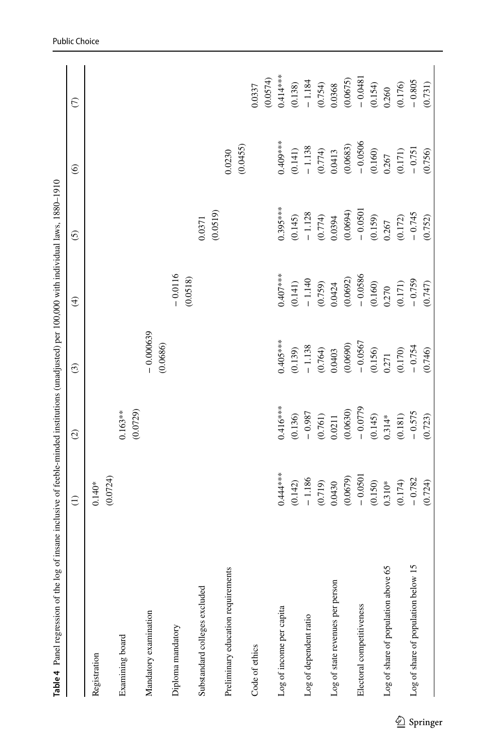<span id="page-20-0"></span>

| Table 4 Panel regression of the log      | of insane inclusive of feeble-minded institutions (unadjusted) per 100,000 with individual laws, 1880-1910 |                       |                         |                       |                               |                                                                       |                                                                       |
|------------------------------------------|------------------------------------------------------------------------------------------------------------|-----------------------|-------------------------|-----------------------|-------------------------------|-----------------------------------------------------------------------|-----------------------------------------------------------------------|
|                                          | $\ominus$                                                                                                  | $\odot$               | $\odot$                 | $\bigoplus$           | <u>ර</u>                      | $\circledcirc$                                                        | $\epsilon$                                                            |
| Registration                             | (0.0724)<br>$0.140*$                                                                                       |                       |                         |                       |                               |                                                                       |                                                                       |
| Examining board                          |                                                                                                            | (0.0729)<br>$0.163**$ |                         |                       |                               |                                                                       |                                                                       |
| Mandatory examination                    |                                                                                                            |                       | $-0.000639$<br>(0.0686) |                       |                               |                                                                       |                                                                       |
| Diploma mandatory                        |                                                                                                            |                       |                         | $-0.0116$<br>(0.0518) |                               |                                                                       |                                                                       |
| Substandard colleges excluded            |                                                                                                            |                       |                         |                       | 0.0371                        |                                                                       |                                                                       |
|                                          |                                                                                                            |                       |                         |                       | (0.0519)                      |                                                                       |                                                                       |
| Preliminary education requirements       |                                                                                                            |                       |                         |                       |                               | 0.0230                                                                |                                                                       |
|                                          |                                                                                                            |                       |                         |                       |                               | (0.0455)                                                              |                                                                       |
| Code of ethics                           |                                                                                                            |                       |                         |                       |                               |                                                                       | 0.0337                                                                |
|                                          |                                                                                                            |                       |                         |                       |                               |                                                                       | (0.0574)                                                              |
| Log of income per capita                 | $0.444***$                                                                                                 | $0.416***$            | $0.405***$              | $0.407***$            | $0.395***$                    | $0.409***$                                                            | $0.414**$                                                             |
|                                          | (0.142)                                                                                                    | (0.136)               | (0.139)                 | (0.141)               | (0.145)                       |                                                                       |                                                                       |
| Log of dependent ratio                   |                                                                                                            | $-0.987$              | $-1.138$                |                       |                               |                                                                       |                                                                       |
|                                          | $-1.186$<br>(0.719)                                                                                        | (0.761)               | (0.764)                 | $-1.140$<br>(0.759)   | $-1.128$<br>(0.774)<br>0.0394 | $\begin{array}{c} (0.141) \\ -1.138 \\ (0.774) \\ 0.0413 \end{array}$ | $\begin{array}{c} (0.138) \\ -1.184 \\ (0.754) \\ 0.0368 \end{array}$ |
| Log of state revenues per person         | 0.0430                                                                                                     | 0.0211                | 0.0403                  | 0.0424                |                               |                                                                       |                                                                       |
|                                          | (0.0679)                                                                                                   | (0.0630)              | (0.0690)                | (0.0692)              | (0.0694)                      |                                                                       | (0.0675)                                                              |
| Electoral competitiveness                | $-0.0501$                                                                                                  | $-0.0779$             | $-0.0567$               | $-0.0586$             | $-0.0501$                     | $(0.0683)$<br>- 0.0506                                                | $-0.0481$                                                             |
|                                          |                                                                                                            |                       |                         |                       |                               |                                                                       | (0.154)                                                               |
| Log of share of population above 65      | $(0.150)$<br>$0.310**$                                                                                     | $(0.145)$<br>0.314*   | $(0.156)$<br>$0.271$    | $(0.160)$<br>$0.270$  | $(0.159)$<br>$0.267$          | $(0.160)$<br>$0.267$                                                  | 0.260                                                                 |
|                                          | (0.174)                                                                                                    | (0.181)               | $(0.170)$<br>- 0.754    | $(0.171)$<br>- 0.759  | (0.172)                       | $(0.171)$<br>- 0.751                                                  | (0.176)                                                               |
| ς.<br>Log of share of population below 1 | $-0.782$                                                                                                   | $-0.575$              |                         |                       | $-0.745$                      |                                                                       | $-0.805$                                                              |
|                                          | (0.724)                                                                                                    | (0.723)               | (0.746)                 | (0.747)               | (0.752)                       | (0.756)                                                               | (0.731)                                                               |
|                                          |                                                                                                            |                       |                         |                       |                               |                                                                       |                                                                       |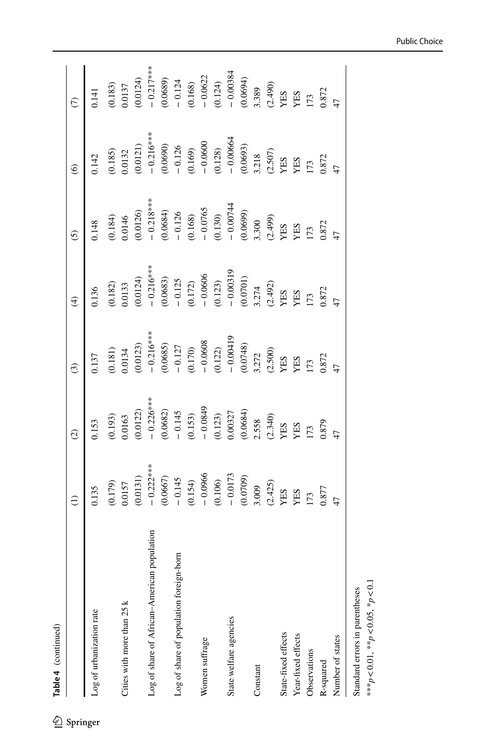|    | ֠<br>ׇ֚֠֕ |
|----|-----------|
| 4  |           |
| Φ  |           |
|    |           |
| قم |           |
|    |           |

|                                                  | $\widehat{\Xi}$                                                                                                                                                                                                                                                        | $\widehat{\mathcal{O}}$                                                                                                                                 | $\widehat{c}$                                                                                                                                                                                                                                                                                                                                                                            |                                                                                                                                                                                                                  | $\widehat{\mathcal{O}}$                                                                                                                            | $\odot$                                                                                                                                                                                                      |                                                                                                                                                                                           |
|--------------------------------------------------|------------------------------------------------------------------------------------------------------------------------------------------------------------------------------------------------------------------------------------------------------------------------|---------------------------------------------------------------------------------------------------------------------------------------------------------|------------------------------------------------------------------------------------------------------------------------------------------------------------------------------------------------------------------------------------------------------------------------------------------------------------------------------------------------------------------------------------------|------------------------------------------------------------------------------------------------------------------------------------------------------------------------------------------------------------------|----------------------------------------------------------------------------------------------------------------------------------------------------|--------------------------------------------------------------------------------------------------------------------------------------------------------------------------------------------------------------|-------------------------------------------------------------------------------------------------------------------------------------------------------------------------------------------|
| Log of urbanization rate                         | 0.135                                                                                                                                                                                                                                                                  | 0.153                                                                                                                                                   | 0.137                                                                                                                                                                                                                                                                                                                                                                                    | 0.136                                                                                                                                                                                                            | 0.148                                                                                                                                              | 0.142                                                                                                                                                                                                        | 0.141                                                                                                                                                                                     |
|                                                  |                                                                                                                                                                                                                                                                        |                                                                                                                                                         |                                                                                                                                                                                                                                                                                                                                                                                          |                                                                                                                                                                                                                  |                                                                                                                                                    |                                                                                                                                                                                                              |                                                                                                                                                                                           |
| Cities with more than 25 k                       | $(61179)$<br>0.0157                                                                                                                                                                                                                                                    | $(0.193)$<br>$0.0163$                                                                                                                                   | $(0.181)$<br>$0.0134$                                                                                                                                                                                                                                                                                                                                                                    |                                                                                                                                                                                                                  |                                                                                                                                                    |                                                                                                                                                                                                              | (0.183)<br>0.0137<br>0.0124)<br>0.0124<br>0.0689)<br>0.0689<br>0.00334<br>0.00334<br>0.00334<br>0.00334<br>0.00334<br>0.00334<br>2.40<br>0.00334<br>0.00334<br>0.00334<br>0.00334<br>2.40 |
|                                                  |                                                                                                                                                                                                                                                                        | (0.0122)                                                                                                                                                |                                                                                                                                                                                                                                                                                                                                                                                          |                                                                                                                                                                                                                  |                                                                                                                                                    |                                                                                                                                                                                                              |                                                                                                                                                                                           |
| population<br>Log of share of African-American p |                                                                                                                                                                                                                                                                        | $-0.226***$                                                                                                                                             |                                                                                                                                                                                                                                                                                                                                                                                          |                                                                                                                                                                                                                  |                                                                                                                                                    |                                                                                                                                                                                                              |                                                                                                                                                                                           |
|                                                  | (0.0131)<br>$- 0.227***$<br>$- 0.237***$<br>$- 0.145$<br>$- 0.154$<br>$- 0.0966$<br>$- 0.0966$<br>$- 0.0173$<br>$- 0.0173$<br>$- 0.0799$<br>$- 0.0799$<br>$- 0.073$<br>$- 0.0799$<br>$- 0.0799$<br>$- 0.073$<br>$- 0.0799$<br>$- 0.073$<br>$- 0.073$<br>$- 0.0799$<br> | (0.0682)                                                                                                                                                | $\begin{array}{r} (0.0123) \\ -0.216^{***} \\ (0.0685) \\ -0.127 \\ -0.170 \\ -0.0608 \\ -0.0608 \\ -0.00419 \\ -0.00419 \\ -0.00419 \\ \times 1.73 \\ \times 1.74 \\ \times 1.73 \\ \times 1.75 \\ \times 1.73 \\ \times 1.73 \\ \times 1.73 \\ \times 1.73 \\ \times 1.73 \\ \times 1.73 \\ \times 1.73 \\ \times 1.73 \\ \times 1.73 \\ \times 1.73 \\ \times 1.73 \\ \times 1.73 \\$ | (0.182)<br>$0.0133$<br>$0.0124$<br>$0.0124$<br>$0.0683$<br>$0.125$<br>$0.172$<br>$0.0606$<br>$0.072$<br>$0.00319$<br>$0.00319$<br>$0.00319$<br>$0.00319$<br>$0.2442$<br>$0.492$<br>$0.492$<br>$0.774$<br>$0.872$ | (0.184)<br>0.0146<br>0.0126)<br>$-0.218***$<br>$-0.218***$<br>$-0.126$<br>0.0684)<br>0.0699<br>0.00744<br>0.00744<br>0.00744<br>0.00744<br>0.00744 | $(0.185)$ $(0.0132)$ $(0.0121)$ $-0.216***$ $-0.16***$ $-0.1690$ $-0.1690$ $-0.0600$ $-0.0600$ $-0.00664$ $-0.00664$ $+0.00664$ $+0.00664$ $+0.00664$ $+0.00673$ $+0.00673$ $+0.00673$ $+0.00673$ $+0.00672$ |                                                                                                                                                                                           |
| Log of share of population foreign-born          |                                                                                                                                                                                                                                                                        | $-0.145$                                                                                                                                                |                                                                                                                                                                                                                                                                                                                                                                                          |                                                                                                                                                                                                                  |                                                                                                                                                    |                                                                                                                                                                                                              |                                                                                                                                                                                           |
|                                                  |                                                                                                                                                                                                                                                                        | $\begin{array}{r} (0.153) \\ -0.0849 \\ (0.123) \\ 0.00327 \\ (0.0684) \\ 2.558 \\ (2.340) \\ \text{YES} \\ \text{YES} \\ 1.73 \\ 0.879 \\ \end{array}$ |                                                                                                                                                                                                                                                                                                                                                                                          |                                                                                                                                                                                                                  |                                                                                                                                                    |                                                                                                                                                                                                              |                                                                                                                                                                                           |
| Women suffrage                                   |                                                                                                                                                                                                                                                                        |                                                                                                                                                         |                                                                                                                                                                                                                                                                                                                                                                                          |                                                                                                                                                                                                                  |                                                                                                                                                    |                                                                                                                                                                                                              |                                                                                                                                                                                           |
|                                                  |                                                                                                                                                                                                                                                                        |                                                                                                                                                         |                                                                                                                                                                                                                                                                                                                                                                                          |                                                                                                                                                                                                                  |                                                                                                                                                    |                                                                                                                                                                                                              |                                                                                                                                                                                           |
| State welfare agencies                           |                                                                                                                                                                                                                                                                        |                                                                                                                                                         |                                                                                                                                                                                                                                                                                                                                                                                          |                                                                                                                                                                                                                  |                                                                                                                                                    |                                                                                                                                                                                                              |                                                                                                                                                                                           |
|                                                  |                                                                                                                                                                                                                                                                        |                                                                                                                                                         |                                                                                                                                                                                                                                                                                                                                                                                          |                                                                                                                                                                                                                  |                                                                                                                                                    |                                                                                                                                                                                                              |                                                                                                                                                                                           |
| Constant                                         |                                                                                                                                                                                                                                                                        |                                                                                                                                                         |                                                                                                                                                                                                                                                                                                                                                                                          |                                                                                                                                                                                                                  |                                                                                                                                                    |                                                                                                                                                                                                              |                                                                                                                                                                                           |
|                                                  |                                                                                                                                                                                                                                                                        |                                                                                                                                                         |                                                                                                                                                                                                                                                                                                                                                                                          |                                                                                                                                                                                                                  |                                                                                                                                                    |                                                                                                                                                                                                              |                                                                                                                                                                                           |
| State-fixed effects                              |                                                                                                                                                                                                                                                                        |                                                                                                                                                         |                                                                                                                                                                                                                                                                                                                                                                                          |                                                                                                                                                                                                                  |                                                                                                                                                    |                                                                                                                                                                                                              |                                                                                                                                                                                           |
| Year-fixed effects                               |                                                                                                                                                                                                                                                                        |                                                                                                                                                         |                                                                                                                                                                                                                                                                                                                                                                                          |                                                                                                                                                                                                                  |                                                                                                                                                    |                                                                                                                                                                                                              |                                                                                                                                                                                           |
| Observations                                     |                                                                                                                                                                                                                                                                        |                                                                                                                                                         |                                                                                                                                                                                                                                                                                                                                                                                          |                                                                                                                                                                                                                  |                                                                                                                                                    |                                                                                                                                                                                                              |                                                                                                                                                                                           |
| R-squared                                        |                                                                                                                                                                                                                                                                        |                                                                                                                                                         |                                                                                                                                                                                                                                                                                                                                                                                          |                                                                                                                                                                                                                  |                                                                                                                                                    |                                                                                                                                                                                                              |                                                                                                                                                                                           |
| Number of states                                 |                                                                                                                                                                                                                                                                        |                                                                                                                                                         |                                                                                                                                                                                                                                                                                                                                                                                          |                                                                                                                                                                                                                  |                                                                                                                                                    |                                                                                                                                                                                                              |                                                                                                                                                                                           |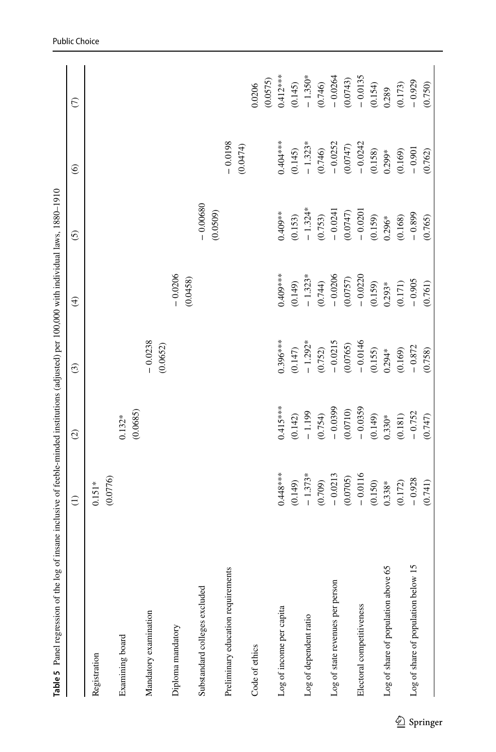<span id="page-22-0"></span>

| Table 5 Panel regression of the log      | of insane inclusive of feeble-minded institutions (adjusted) per 100,000 with individual laws, 1880-1910 |                      |                       |                       |                        |                        |                    |
|------------------------------------------|----------------------------------------------------------------------------------------------------------|----------------------|-----------------------|-----------------------|------------------------|------------------------|--------------------|
|                                          | $\ominus$                                                                                                | $\odot$              | $\odot$               | $\bigoplus$           | ତି                     | $\circledcirc$         | $\epsilon$         |
| Registration                             | (0.0776)<br>$0.151*$                                                                                     |                      |                       |                       |                        |                        |                    |
| Examining board                          |                                                                                                          | (0.0685)<br>$0.132*$ |                       |                       |                        |                        |                    |
| Mandatory examination                    |                                                                                                          |                      | $-0.0238$<br>(0.0652) |                       |                        |                        |                    |
| Diploma mandatory                        |                                                                                                          |                      |                       | $-0.0206$<br>(0.0458) |                        |                        |                    |
| Substandard colleges excluded            |                                                                                                          |                      |                       |                       | $-0.00680$<br>(0.0509) |                        |                    |
| Preliminary education requirements       |                                                                                                          |                      |                       |                       |                        | $-0.0198$              |                    |
|                                          |                                                                                                          |                      |                       |                       |                        | (0.0474)               |                    |
| Code of ethics                           |                                                                                                          |                      |                       |                       |                        |                        | (0.0575)<br>0.0206 |
| Log of income per capita                 | $0.448***$                                                                                               | $0.415***$           | $0.396***$            | $0.409***$            | $0.409**$              | $0.404***$             | $0.412***$         |
|                                          | (0.149)                                                                                                  | (0.142)              | (0.147)               | (0.149)               | (0.153)                | (0.145)                | (0.145)            |
| Log of dependent ratio                   | $-1.373*$                                                                                                | $-1.199$             | $-1.292*$             | $-1.323*$             | $-1.324*$              | $-1.323*$              | $-1.350*$          |
|                                          | (0.709)                                                                                                  | (0.754)              | (0.752)               | (0.744)               | (0.753)                | (0.746)                | (0.746)            |
| Log of state revenues per person         | $-0.0213$                                                                                                | $-0.0399$            | $-0.0215$             | $-0.0206$             | $-0.0241$              | $-0.0252$              | $-0.0264$          |
|                                          | (0.0705)                                                                                                 | (0.0710)             | (0.0765)              | (0.0757)              | (0.0747)               |                        | (0.0743)           |
| Electoral competitiveness                | $-0.0116$                                                                                                | $-0.0359$            | $-0.0146$             | $-0.0220$             | $-0.0201$              | $(0.0747)$<br>- 0.0242 | $-0.0135$          |
|                                          | (0.150)                                                                                                  | (0.149)              | (0.155)               | (0.159)               | (0.159)                | (0.158)                | (0.154)            |
| Log of share of population above 65      | $0.338*$                                                                                                 | $0.330*$             | $0.294*$              | $0.293*$              | $0.296*$               | $0.299*$               | 0.289              |
|                                          | (0.172)                                                                                                  | (0.181)              | (0.169)               | (0.171)               | (0.168)                | (0.169)                | (0.173)            |
| ς.<br>Log of share of population below 1 | $-0.928$                                                                                                 | $-0.752$             | $-0.872$              | $-0.905$              | $-0.899$               | $-0.901$               | $-0.929$           |
|                                          | (0.741)                                                                                                  | (0.747)              | (0.758)               | (0.761)               | (0.765)                | (0.762)                | (0.750)            |
|                                          |                                                                                                          |                      |                       |                       |                        |                        |                    |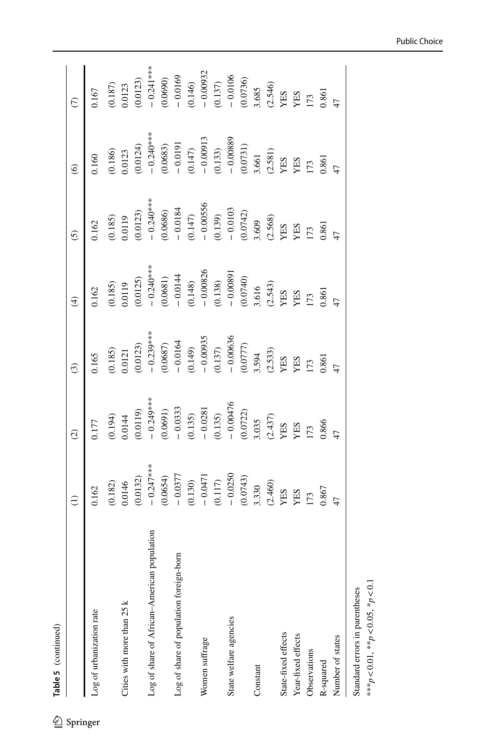|  |              |                | J |
|--|--------------|----------------|---|
|  |              | 33 Martin 1975 |   |
|  | m            |                |   |
|  | $\mathbf{v}$ |                |   |
|  |              |                |   |
|  | Tabl         |                |   |
|  |              |                |   |

|                                                  | $\widehat{\Xi}$                                                                                      | $\widehat{\mathcal{O}}$                                                                                                                    | $\widehat{c}$                                                                                  | $\widehat{\mathrm{H}}$                                                                                                                                                                                      | $\widehat{\mathcal{O}}$                                                                                                                                                                                                | $\odot$                                                                                                                                                                                                                                                                                                                                                                                                         |                                                                                                                      |
|--------------------------------------------------|------------------------------------------------------------------------------------------------------|--------------------------------------------------------------------------------------------------------------------------------------------|------------------------------------------------------------------------------------------------|-------------------------------------------------------------------------------------------------------------------------------------------------------------------------------------------------------------|------------------------------------------------------------------------------------------------------------------------------------------------------------------------------------------------------------------------|-----------------------------------------------------------------------------------------------------------------------------------------------------------------------------------------------------------------------------------------------------------------------------------------------------------------------------------------------------------------------------------------------------------------|----------------------------------------------------------------------------------------------------------------------|
| Log of urbanization rate                         | 0.162                                                                                                | 0.177                                                                                                                                      | 0.165                                                                                          | 0.162                                                                                                                                                                                                       | 0.162                                                                                                                                                                                                                  | 0.160                                                                                                                                                                                                                                                                                                                                                                                                           | 0.167                                                                                                                |
|                                                  | (0.182)                                                                                              |                                                                                                                                            |                                                                                                |                                                                                                                                                                                                             |                                                                                                                                                                                                                        | (0.186)                                                                                                                                                                                                                                                                                                                                                                                                         |                                                                                                                      |
| Cities with more than 25 k                       | 0.0146                                                                                               | $(0.194)$<br>$0.0144$                                                                                                                      | $(0.185)$<br>$0.0121$                                                                          | $(0.185)$<br>0.0119                                                                                                                                                                                         | (0.185)                                                                                                                                                                                                                |                                                                                                                                                                                                                                                                                                                                                                                                                 | $(0.187)$<br>$0.0123$<br>$(0.0123)$<br>$- 0.241***$<br>$(0.0690)$<br>$(0.0690)$                                      |
|                                                  | (0.0132)                                                                                             | 0.0119                                                                                                                                     | 0.0123)                                                                                        | 0.0125                                                                                                                                                                                                      |                                                                                                                                                                                                                        | $0.0123$<br>$(0.0124)$<br>$- 0.240***$<br>$(0.0683)$<br>$- 0.0191$                                                                                                                                                                                                                                                                                                                                              |                                                                                                                      |
| population<br>Log of share of African-American p | $-0.247***$                                                                                          |                                                                                                                                            |                                                                                                | $-0.240***$                                                                                                                                                                                                 |                                                                                                                                                                                                                        |                                                                                                                                                                                                                                                                                                                                                                                                                 |                                                                                                                      |
|                                                  | (0.0654)                                                                                             | $-0.249***$<br>(0.0691)                                                                                                                    | $-0.239***$<br>(0.0687)<br>- 0.0164                                                            |                                                                                                                                                                                                             |                                                                                                                                                                                                                        |                                                                                                                                                                                                                                                                                                                                                                                                                 |                                                                                                                      |
| Log of share of population foreign-born          | $-0.0377$                                                                                            | $-0.0333$                                                                                                                                  |                                                                                                |                                                                                                                                                                                                             |                                                                                                                                                                                                                        |                                                                                                                                                                                                                                                                                                                                                                                                                 |                                                                                                                      |
|                                                  | (0.130)<br>$-0.0471$<br>$-0.0471$<br>$-0.0250$<br>$-0.0250$<br>$(0.0743)$<br>3.330<br>(2.460)<br>YES | (0.135)<br>$-0.0281$<br>$-0.035$<br>$-0.00476$<br>$-0.00476$<br>$(0.0722)$<br>$(2.437)$<br>YES<br>YES<br>YES<br>YES<br>YES<br>173<br>0.866 | $\begin{array}{l} (0.149) \\ -0.00935 \\ (0.137) \\ -0.00636 \\ (0.0777) \\ 3.594 \end{array}$ | $\begin{array}{r} (0.0681) \\ -0.0144 \\ (0.148) \\ -0.00826 \\ (0.0138) \\ -0.00891 \\ (0.0740) \\ 0.0091 \\ (2.543) \\ \text{YES} \\ \text{YES} \\ \text{YES} \\ \text{YES} \\ \text{YES} \\ \end{array}$ | (0.0123)<br>$- 0.240***$<br>$- 0.240***$<br>$- 0.0184$<br>$- 0.0184$<br>$- 0.00556$<br>$- 0.00556$<br>$- 0.00556$<br>$- 0.0147$<br>$- 0.0103$<br>$- 0.0103$<br>$- 0.0103$<br>$- 0.00542$<br>$- 0.00542$<br>$- 0.00542$ | $\begin{array}{l} (0.147) \\ - \ 0.00913 \\ - \ 0.033) \\ - \ 0.00889 \\ - \ 0.00389 \\ 0.00731) \\ 3.661 \\ \times 125 \\ \times 125 \\ \times 125 \\ \times 125 \\ \times 125 \\ \times 125 \\ \times 125 \\ \times 125 \\ \times 125 \\ \times 125 \\ \times 125 \\ \times 125 \\ \times 125 \\ \times 125 \\ \times 125 \\ \times 125 \\ \times 125 \\ \times 125 \\ \times 125 \\ \times 125 \\ \times 12$ | (0.146)<br>$- 0.00932$<br>$- 0.0105$<br>$- 0.0106$<br>(0.0736)<br>3.685<br>2.546)<br>YES<br>YES<br>YES<br>YES<br>173 |
| Women suffrage                                   |                                                                                                      |                                                                                                                                            |                                                                                                |                                                                                                                                                                                                             |                                                                                                                                                                                                                        |                                                                                                                                                                                                                                                                                                                                                                                                                 |                                                                                                                      |
|                                                  |                                                                                                      |                                                                                                                                            |                                                                                                |                                                                                                                                                                                                             |                                                                                                                                                                                                                        |                                                                                                                                                                                                                                                                                                                                                                                                                 |                                                                                                                      |
| State welfare agencies                           |                                                                                                      |                                                                                                                                            |                                                                                                |                                                                                                                                                                                                             |                                                                                                                                                                                                                        |                                                                                                                                                                                                                                                                                                                                                                                                                 |                                                                                                                      |
|                                                  |                                                                                                      |                                                                                                                                            |                                                                                                |                                                                                                                                                                                                             |                                                                                                                                                                                                                        |                                                                                                                                                                                                                                                                                                                                                                                                                 |                                                                                                                      |
| Constant                                         |                                                                                                      |                                                                                                                                            |                                                                                                |                                                                                                                                                                                                             |                                                                                                                                                                                                                        |                                                                                                                                                                                                                                                                                                                                                                                                                 |                                                                                                                      |
|                                                  |                                                                                                      |                                                                                                                                            | $\frac{\text{(2.533)}}{\text{YES}}$                                                            |                                                                                                                                                                                                             |                                                                                                                                                                                                                        |                                                                                                                                                                                                                                                                                                                                                                                                                 |                                                                                                                      |
| State-fixed effects                              |                                                                                                      |                                                                                                                                            |                                                                                                |                                                                                                                                                                                                             |                                                                                                                                                                                                                        |                                                                                                                                                                                                                                                                                                                                                                                                                 |                                                                                                                      |
| Year-fixed effects                               |                                                                                                      |                                                                                                                                            |                                                                                                |                                                                                                                                                                                                             |                                                                                                                                                                                                                        |                                                                                                                                                                                                                                                                                                                                                                                                                 |                                                                                                                      |
| Observations                                     | $\overline{173}$                                                                                     |                                                                                                                                            | $173$<br>$0.861$                                                                               | $173$<br>0.861                                                                                                                                                                                              | 173<br>0.861                                                                                                                                                                                                           |                                                                                                                                                                                                                                                                                                                                                                                                                 |                                                                                                                      |
| R-squared                                        | 1.867                                                                                                |                                                                                                                                            |                                                                                                |                                                                                                                                                                                                             |                                                                                                                                                                                                                        |                                                                                                                                                                                                                                                                                                                                                                                                                 |                                                                                                                      |
| Number of states                                 |                                                                                                      |                                                                                                                                            |                                                                                                |                                                                                                                                                                                                             |                                                                                                                                                                                                                        |                                                                                                                                                                                                                                                                                                                                                                                                                 |                                                                                                                      |

Public Choice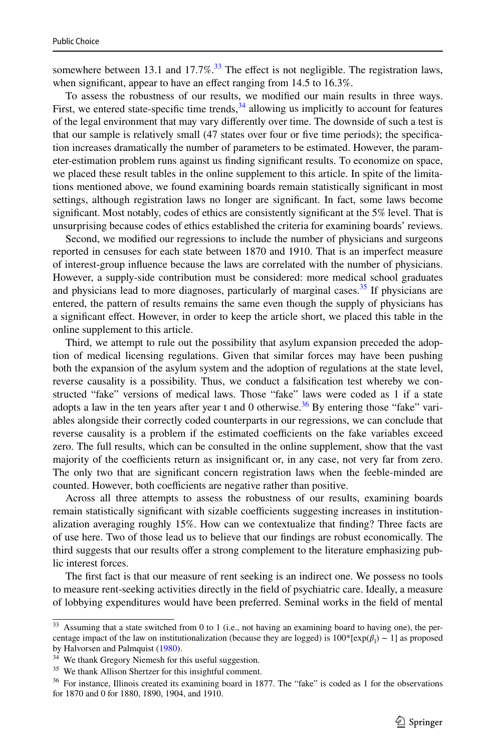somewhere between 13.1 and 17.7%.<sup>[33](#page-24-0)</sup> The effect is not negligible. The registration laws, when significant, appear to have an effect ranging from 14.5 to 16.3%.

To assess the robustness of our results, we modified our main results in three ways. First, we entered state-specific time trends,  $34$  allowing us implicitly to account for features of the legal environment that may vary differently over time. The downside of such a test is that our sample is relatively small (47 states over four or five time periods); the specification increases dramatically the number of parameters to be estimated. However, the parameter-estimation problem runs against us finding significant results. To economize on space, we placed these result tables in the online supplement to this article. In spite of the limitations mentioned above, we found examining boards remain statistically significant in most settings, although registration laws no longer are significant. In fact, some laws become significant. Most notably, codes of ethics are consistently significant at the 5% level. That is unsurprising because codes of ethics established the criteria for examining boards' reviews.

Second, we modified our regressions to include the number of physicians and surgeons reported in censuses for each state between 1870 and 1910. That is an imperfect measure of interest-group influence because the laws are correlated with the number of physicians. However, a supply-side contribution must be considered: more medical school graduates and physicians lead to more diagnoses, particularly of marginal cases.<sup>[35](#page-24-2)</sup> If physicians are entered, the pattern of results remains the same even though the supply of physicians has a significant effect. However, in order to keep the article short, we placed this table in the online supplement to this article.

Third, we attempt to rule out the possibility that asylum expansion preceded the adoption of medical licensing regulations. Given that similar forces may have been pushing both the expansion of the asylum system and the adoption of regulations at the state level, reverse causality is a possibility. Thus, we conduct a falsification test whereby we constructed "fake" versions of medical laws. Those "fake" laws were coded as 1 if a state adopts a law in the ten years after year t and 0 otherwise.<sup>[36](#page-24-3)</sup> By entering those "fake" variables alongside their correctly coded counterparts in our regressions, we can conclude that reverse causality is a problem if the estimated coefficients on the fake variables exceed zero. The full results, which can be consulted in the online supplement, show that the vast majority of the coefficients return as insignificant or, in any case, not very far from zero. The only two that are significant concern registration laws when the feeble-minded are counted. However, both coefficients are negative rather than positive.

Across all three attempts to assess the robustness of our results, examining boards remain statistically significant with sizable coefficients suggesting increases in institutionalization averaging roughly 15%. How can we contextualize that finding? Three facts are of use here. Two of those lead us to believe that our findings are robust economically. The third suggests that our results offer a strong complement to the literature emphasizing public interest forces.

The first fact is that our measure of rent seeking is an indirect one. We possess no tools to measure rent-seeking activities directly in the field of psychiatric care. Ideally, a measure of lobbying expenditures would have been preferred. Seminal works in the field of mental

<span id="page-24-0"></span> $33$  Assuming that a state switched from 0 to 1 (i.e., not having an examining board to having one), the percentage impact of the law on institutionalization (because they are logged) is  $100^*$ [exp( $\beta_1$ ) – 1] as proposed by Halvorsen and Palmquist [\(1980](#page-28-30)).

<span id="page-24-1"></span><sup>&</sup>lt;sup>34</sup> We thank Gregory Niemesh for this useful suggestion.

<span id="page-24-2"></span><sup>35</sup> We thank Allison Shertzer for this insightful comment.

<span id="page-24-3"></span><sup>36</sup> For instance, Illinois created its examining board in 1877. The "fake" is coded as 1 for the observations for 1870 and 0 for 1880, 1890, 1904, and 1910.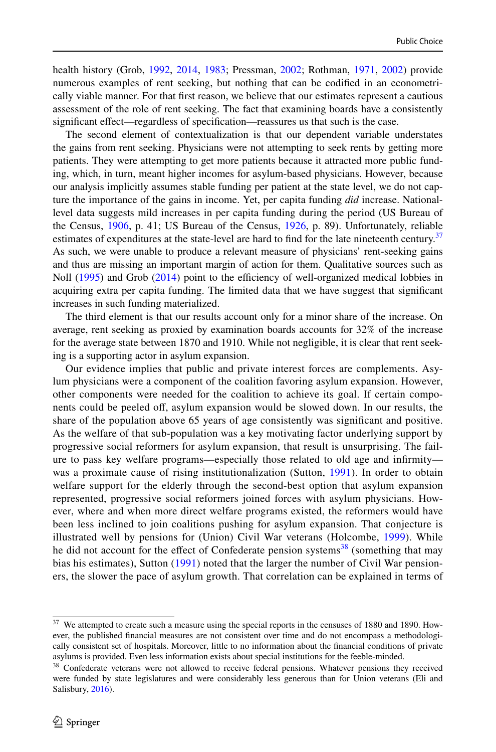health history (Grob, [1992,](#page-27-1) [2014](#page-28-1), [1983](#page-27-2); Pressman, [2002](#page-29-9); Rothman, [1971,](#page-29-0) [2002](#page-29-10)) provide numerous examples of rent seeking, but nothing that can be codified in an econometrically viable manner. For that first reason, we believe that our estimates represent a cautious assessment of the role of rent seeking. The fact that examining boards have a consistently significant effect—regardless of specification—reassures us that such is the case.

The second element of contextualization is that our dependent variable understates the gains from rent seeking. Physicians were not attempting to seek rents by getting more patients. They were attempting to get more patients because it attracted more public funding, which, in turn, meant higher incomes for asylum-based physicians. However, because our analysis implicitly assumes stable funding per patient at the state level, we do not capture the importance of the gains in income. Yet, per capita funding *did* increase. Nationallevel data suggests mild increases in per capita funding during the period (US Bureau of the Census, [1906](#page-29-25), p. 41; US Bureau of the Census, [1926](#page-29-13), p. 89). Unfortunately, reliable estimates of expenditures at the state-level are hard to find for the late nineteenth century.<sup>[37](#page-25-0)</sup> As such, we were unable to produce a relevant measure of physicians' rent-seeking gains and thus are missing an important margin of action for them. Qualitative sources such as Noll ([1995\)](#page-29-21) and Grob ([2014\)](#page-28-1) point to the efficiency of well-organized medical lobbies in acquiring extra per capita funding. The limited data that we have suggest that significant increases in such funding materialized.

The third element is that our results account only for a minor share of the increase. On average, rent seeking as proxied by examination boards accounts for 32% of the increase for the average state between 1870 and 1910. While not negligible, it is clear that rent seeking is a supporting actor in asylum expansion.

Our evidence implies that public and private interest forces are complements. Asylum physicians were a component of the coalition favoring asylum expansion. However, other components were needed for the coalition to achieve its goal. If certain components could be peeled off, asylum expansion would be slowed down. In our results, the share of the population above 65 years of age consistently was significant and positive. As the welfare of that sub-population was a key motivating factor underlying support by progressive social reformers for asylum expansion, that result is unsurprising. The failure to pass key welfare programs—especially those related to old age and infirmity was a proximate cause of rising institutionalization (Sutton, [1991](#page-29-1)). In order to obtain welfare support for the elderly through the second-best option that asylum expansion represented, progressive social reformers joined forces with asylum physicians. However, where and when more direct welfare programs existed, the reformers would have been less inclined to join coalitions pushing for asylum expansion. That conjecture is illustrated well by pensions for (Union) Civil War veterans (Holcombe, [1999](#page-28-4)). While he did not account for the effect of Confederate pension systems<sup>[38](#page-25-1)</sup> (something that may bias his estimates), Sutton ([1991](#page-29-1)) noted that the larger the number of Civil War pensioners, the slower the pace of asylum growth. That correlation can be explained in terms of

<span id="page-25-0"></span><sup>&</sup>lt;sup>37</sup> We attempted to create such a measure using the special reports in the censuses of 1880 and 1890. However, the published financial measures are not consistent over time and do not encompass a methodologically consistent set of hospitals. Moreover, little to no information about the financial conditions of private asylums is provided. Even less information exists about special institutions for the feeble-minded.

<span id="page-25-1"></span><sup>&</sup>lt;sup>38</sup> Confederate veterans were not allowed to receive federal pensions. Whatever pensions they received were funded by state legislatures and were considerably less generous than for Union veterans (Eli and Salisbury, [2016\)](#page-27-20).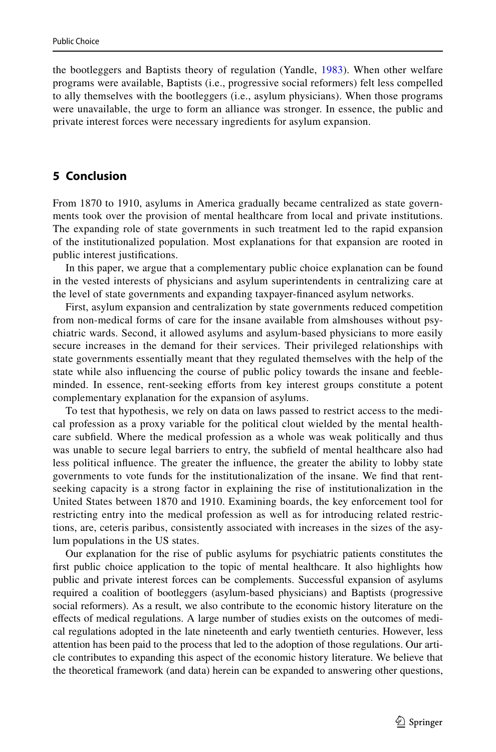the bootleggers and Baptists theory of regulation (Yandle, [1983](#page-29-4)). When other welfare programs were available, Baptists (i.e., progressive social reformers) felt less compelled to ally themselves with the bootleggers (i.e., asylum physicians). When those programs were unavailable, the urge to form an alliance was stronger. In essence, the public and private interest forces were necessary ingredients for asylum expansion.

# <span id="page-26-0"></span>**5 Conclusion**

From 1870 to 1910, asylums in America gradually became centralized as state governments took over the provision of mental healthcare from local and private institutions. The expanding role of state governments in such treatment led to the rapid expansion of the institutionalized population. Most explanations for that expansion are rooted in public interest justifications.

In this paper, we argue that a complementary public choice explanation can be found in the vested interests of physicians and asylum superintendents in centralizing care at the level of state governments and expanding taxpayer-financed asylum networks.

First, asylum expansion and centralization by state governments reduced competition from non-medical forms of care for the insane available from almshouses without psychiatric wards. Second, it allowed asylums and asylum-based physicians to more easily secure increases in the demand for their services. Their privileged relationships with state governments essentially meant that they regulated themselves with the help of the state while also influencing the course of public policy towards the insane and feebleminded. In essence, rent-seeking efforts from key interest groups constitute a potent complementary explanation for the expansion of asylums.

To test that hypothesis, we rely on data on laws passed to restrict access to the medical profession as a proxy variable for the political clout wielded by the mental healthcare subfield. Where the medical profession as a whole was weak politically and thus was unable to secure legal barriers to entry, the subfield of mental healthcare also had less political influence. The greater the influence, the greater the ability to lobby state governments to vote funds for the institutionalization of the insane. We find that rentseeking capacity is a strong factor in explaining the rise of institutionalization in the United States between 1870 and 1910. Examining boards, the key enforcement tool for restricting entry into the medical profession as well as for introducing related restrictions, are, ceteris paribus, consistently associated with increases in the sizes of the asylum populations in the US states.

Our explanation for the rise of public asylums for psychiatric patients constitutes the first public choice application to the topic of mental healthcare. It also highlights how public and private interest forces can be complements. Successful expansion of asylums required a coalition of bootleggers (asylum-based physicians) and Baptists (progressive social reformers). As a result, we also contribute to the economic history literature on the effects of medical regulations. A large number of studies exists on the outcomes of medical regulations adopted in the late nineteenth and early twentieth centuries. However, less attention has been paid to the process that led to the adoption of those regulations. Our article contributes to expanding this aspect of the economic history literature. We believe that the theoretical framework (and data) herein can be expanded to answering other questions,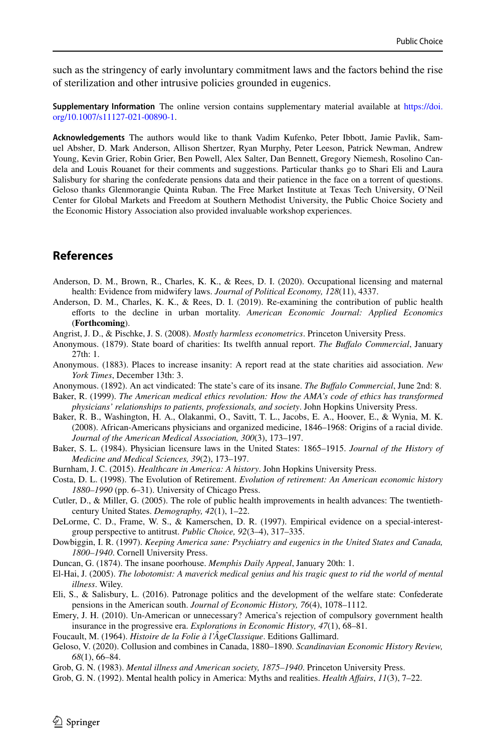such as the stringency of early involuntary commitment laws and the factors behind the rise of sterilization and other intrusive policies grounded in eugenics.

**Supplementary Information** The online version contains supplementary material available at https://doi. org/10.1007/s11127-021-00890-1.

**Acknowledgements** The authors would like to thank Vadim Kufenko, Peter Ibbott, Jamie Pavlik, Samuel Absher, D. Mark Anderson, Allison Shertzer, Ryan Murphy, Peter Leeson, Patrick Newman, Andrew Young, Kevin Grier, Robin Grier, Ben Powell, Alex Salter, Dan Bennett, Gregory Niemesh, Rosolino Candela and Louis Rouanet for their comments and suggestions. Particular thanks go to Shari Eli and Laura Salisbury for sharing the confederate pensions data and their patience in the face on a torrent of questions. Geloso thanks Glenmorangie Quinta Ruban. The Free Market Institute at Texas Tech University, O'Neil Center for Global Markets and Freedom at Southern Methodist University, the Public Choice Society and the Economic History Association also provided invaluable workshop experiences.

# **References**

- <span id="page-27-4"></span>Anderson, D. M., Brown, R., Charles, K. K., & Rees, D. I. (2020). Occupational licensing and maternal health: Evidence from midwifery laws. *Journal of Political Economy, 128*(11), 4337.
- <span id="page-27-7"></span>Anderson, D. M., Charles, K. K., & Rees, D. I. (2019). Re-examining the contribution of public health efforts to the decline in urban mortality. *American Economic Journal: Applied Economics* (**Forthcoming**).
- <span id="page-27-21"></span>Angrist, J. D., & Pischke, J. S. (2008). *Mostly harmless econometrics*. Princeton University Press.
- <span id="page-27-18"></span>Anonymous. (1879). State board of charities: Its twelfth annual report. *The Buffalo Commercial*, January 27th: 1.
- <span id="page-27-17"></span>Anonymous. (1883). Places to increase insanity: A report read at the state charities aid association. *New York Times*, December 13th: 3.
- <span id="page-27-19"></span>Anonymous. (1892). An act vindicated: The state's care of its insane. *The Buffalo Commercial*, June 2nd: 8.
- <span id="page-27-14"></span>Baker, R. (1999). *The American medical ethics revolution: How the AMA's code of ethics has transformed physicians' relationships to patients, professionals, and society*. John Hopkins University Press.
- <span id="page-27-10"></span>Baker, R. B., Washington, H. A., Olakanmi, O., Savitt, T. L., Jacobs, E. A., Hoover, E., & Wynia, M. K. (2008). African-Americans physicians and organized medicine, 1846–1968: Origins of a racial divide. *Journal of the American Medical Association, 300*(3), 173–197.
- <span id="page-27-3"></span>Baker, S. L. (1984). Physician licensure laws in the United States: 1865–1915. *Journal of the History of Medicine and Medical Sciences, 39*(2), 173–197.
- <span id="page-27-13"></span>Burnham, J. C. (2015). *Healthcare in America: A history*. John Hopkins University Press.
- <span id="page-27-12"></span>Costa, D. L. (1998). The Evolution of Retirement. *Evolution of retirement: An American economic history 1880–1990* (pp. 6–31). University of Chicago Press.
- <span id="page-27-8"></span>Cutler, D., & Miller, G. (2005). The role of public health improvements in health advances: The twentiethcentury United States. *Demography, 42*(1), 1–22.
- <span id="page-27-5"></span>DeLorme, C. D., Frame, W. S., & Kamerschen, D. R. (1997). Empirical evidence on a special-interestgroup perspective to antitrust. *Public Choice, 92*(3–4), 317–335.
- <span id="page-27-11"></span>Dowbiggin, I. R. (1997). *Keeping America sane: Psychiatry and eugenics in the United States and Canada, 1800–1940*. Cornell University Press.
- <span id="page-27-16"></span>Duncan, G. (1874). The insane poorhouse. *Memphis Daily Appeal*, January 20th: 1.
- <span id="page-27-15"></span>El-Hai, J. (2005). *The lobotomist: A maverick medical genius and his tragic quest to rid the world of mental illness*. Wiley.
- <span id="page-27-20"></span>Eli, S., & Salisbury, L. (2016). Patronage politics and the development of the welfare state: Confederate pensions in the American south. *Journal of Economic History, 76*(4), 1078–1112.
- <span id="page-27-9"></span>Emery, J. H. (2010). Un-American or unnecessary? America's rejection of compulsory government health insurance in the progressive era. *Explorations in Economic History, 47*(1), 68–81.
- <span id="page-27-0"></span>Foucault, M. (1964). *Histoire de la Folie à l'ÂgeClassique*. Editions Gallimard.
- <span id="page-27-6"></span>Geloso, V. (2020). Collusion and combines in Canada, 1880–1890. *Scandinavian Economic History Review, 68*(1), 66–84.
- <span id="page-27-2"></span>Grob, G. N. (1983). *Mental illness and American society, 1875–1940*. Princeton University Press.
- <span id="page-27-1"></span>Grob, G. N. (1992). Mental health policy in America: Myths and realities. *Health Affairs*, *11*(3), 7–22.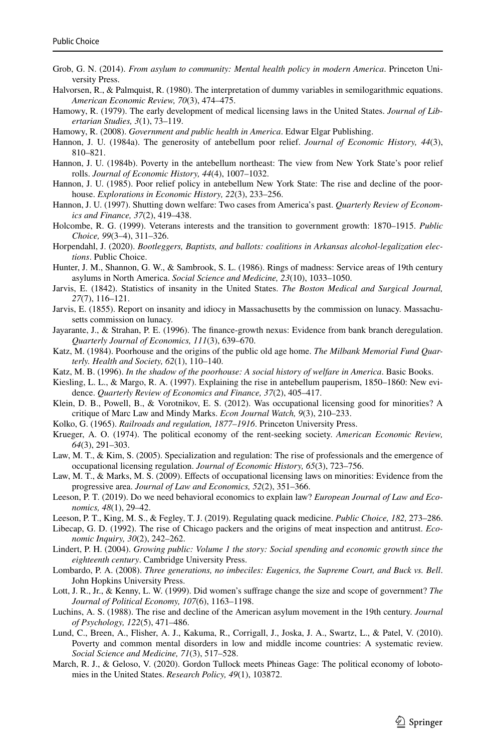- <span id="page-28-1"></span>Grob, G. N. (2014). *From asylum to community: Mental health policy in modern America*. Princeton University Press.
- <span id="page-28-30"></span>Halvorsen, R., & Palmquist, R. (1980). The interpretation of dummy variables in semilogarithmic equations. *American Economic Review, 70*(3), 474–475.
- <span id="page-28-5"></span>Hamowy, R. (1979). The early development of medical licensing laws in the United States. *Journal of Libertarian Studies, 3*(1), 73–119.
- <span id="page-28-12"></span>Hamowy, R. (2008). *Government and public health in America*. Edwar Elgar Publishing.
- <span id="page-28-14"></span>Hannon, J. U. (1984a). The generosity of antebellum poor relief. *Journal of Economic History, 44*(3), 810–821.
- <span id="page-28-21"></span>Hannon, J. U. (1984b). Poverty in the antebellum northeast: The view from New York State's poor relief rolls. *Journal of Economic History, 44*(4), 1007–1032.
- <span id="page-28-15"></span>Hannon, J. U. (1985). Poor relief policy in antebellum New York State: The rise and decline of the poorhouse. *Explorations in Economic History, 22*(3), 233–256.
- <span id="page-28-16"></span>Hannon, J. U. (1997). Shutting down welfare: Two cases from America's past. *Quarterly Review of Economics and Finance, 37*(2), 419–438.
- <span id="page-28-4"></span>Holcombe, R. G. (1999). Veterans interests and the transition to government growth: 1870–1915. *Public Choice, 99*(3–4), 311–326.
- <span id="page-28-3"></span>Horpendahl, J. (2020). *Bootleggers, Baptists, and ballots: coalitions in Arkansas alcohol-legalization elections*. Public Choice.
- <span id="page-28-0"></span>Hunter, J. M., Shannon, G. W., & Sambrook, S. L. (1986). Rings of madness: Service areas of 19th century asylums in North America. *Social Science and Medicine, 23*(10), 1033–1050.
- <span id="page-28-20"></span>Jarvis, E. (1842). Statistics of insanity in the United States. *The Boston Medical and Surgical Journal, 27*(7), 116–121.
- <span id="page-28-25"></span>Jarvis, E. (1855). Report on insanity and idiocy in Massachusetts by the commission on lunacy. Massachusetts commission on lunacy.
- <span id="page-28-28"></span>Jayarante, J., & Strahan, P. E. (1996). The finance-growth nexus: Evidence from bank branch deregulation. *Quarterly Journal of Economics, 111*(3), 639–670.
- <span id="page-28-26"></span>Katz, M. (1984). Poorhouse and the origins of the public old age home. *The Milbank Memorial Fund Quarterly. Health and Society, 62*(1), 110–140.
- <span id="page-28-17"></span>Katz, M. B. (1996). *In the shadow of the poorhouse: A social history of welfare in America*. Basic Books.
- <span id="page-28-18"></span>Kiesling, L. L., & Margo, R. A. (1997). Explaining the rise in antebellum pauperism, 1850–1860: New evidence. *Quarterly Review of Economics and Finance, 37*(2), 405–417.
- <span id="page-28-11"></span>Klein, D. B., Powell, B., & Vorotnikov, E. S. (2012). Was occupational licensing good for minorities? A critique of Marc Law and Mindy Marks. *Econ Journal Watch, 9*(3), 210–233.
- <span id="page-28-23"></span>Kolko, G. (1965). *Railroads and regulation, 1877–1916*. Princeton University Press.
- <span id="page-28-22"></span>Krueger, A. O. (1974). The political economy of the rent-seeking society. *American Economic Review, 64*(3), 291–303.
- <span id="page-28-6"></span>Law, M. T., & Kim, S. (2005). Specialization and regulation: The rise of professionals and the emergence of occupational licensing regulation. *Journal of Economic History, 65*(3), 723–756.
- <span id="page-28-10"></span>Law, M. T., & Marks, M. S. (2009). Effects of occupational licensing laws on minorities: Evidence from the progressive area. *Journal of Law and Economics, 52*(2), 351–366.
- <span id="page-28-2"></span>Leeson, P. T. (2019). Do we need behavioral economics to explain law? *European Journal of Law and Economics, 48*(1), 29–42.
- <span id="page-28-13"></span>Leeson, P. T., King, M. S., & Fegley, T. J. (2019). Regulating quack medicine. *Public Choice, 182,* 273–286.
- <span id="page-28-9"></span>Libecap, G. D. (1992). The rise of Chicago packers and the origins of meat inspection and antitrust. *Economic Inquiry, 30*(2), 242–262.
- <span id="page-28-8"></span>Lindert, P. H. (2004). *Growing public: Volume 1 the story: Social spending and economic growth since the eighteenth century*. Cambridge University Press.
- <span id="page-28-24"></span>Lombardo, P. A. (2008). *Three generations, no imbeciles: Eugenics, the Supreme Court, and Buck vs. Bell*. John Hopkins University Press.
- <span id="page-28-29"></span>Lott, J. R., Jr., & Kenny, L. W. (1999). Did women's suffrage change the size and scope of government? *The Journal of Political Economy, 107*(6), 1163–1198.
- <span id="page-28-27"></span>Luchins, A. S. (1988). The rise and decline of the American asylum movement in the 19th century. *Journal of Psychology, 122*(5), 471–486.
- <span id="page-28-19"></span>Lund, C., Breen, A., Flisher, A. J., Kakuma, R., Corrigall, J., Joska, J. A., Swartz, L., & Patel, V. (2010). Poverty and common mental disorders in low and middle income countries: A systematic review. *Social Science and Medicine, 71*(3), 517–528.
- <span id="page-28-7"></span>March, R. J., & Geloso, V. (2020). Gordon Tullock meets Phineas Gage: The political economy of lobotomies in the United States. *Research Policy, 49*(1), 103872.